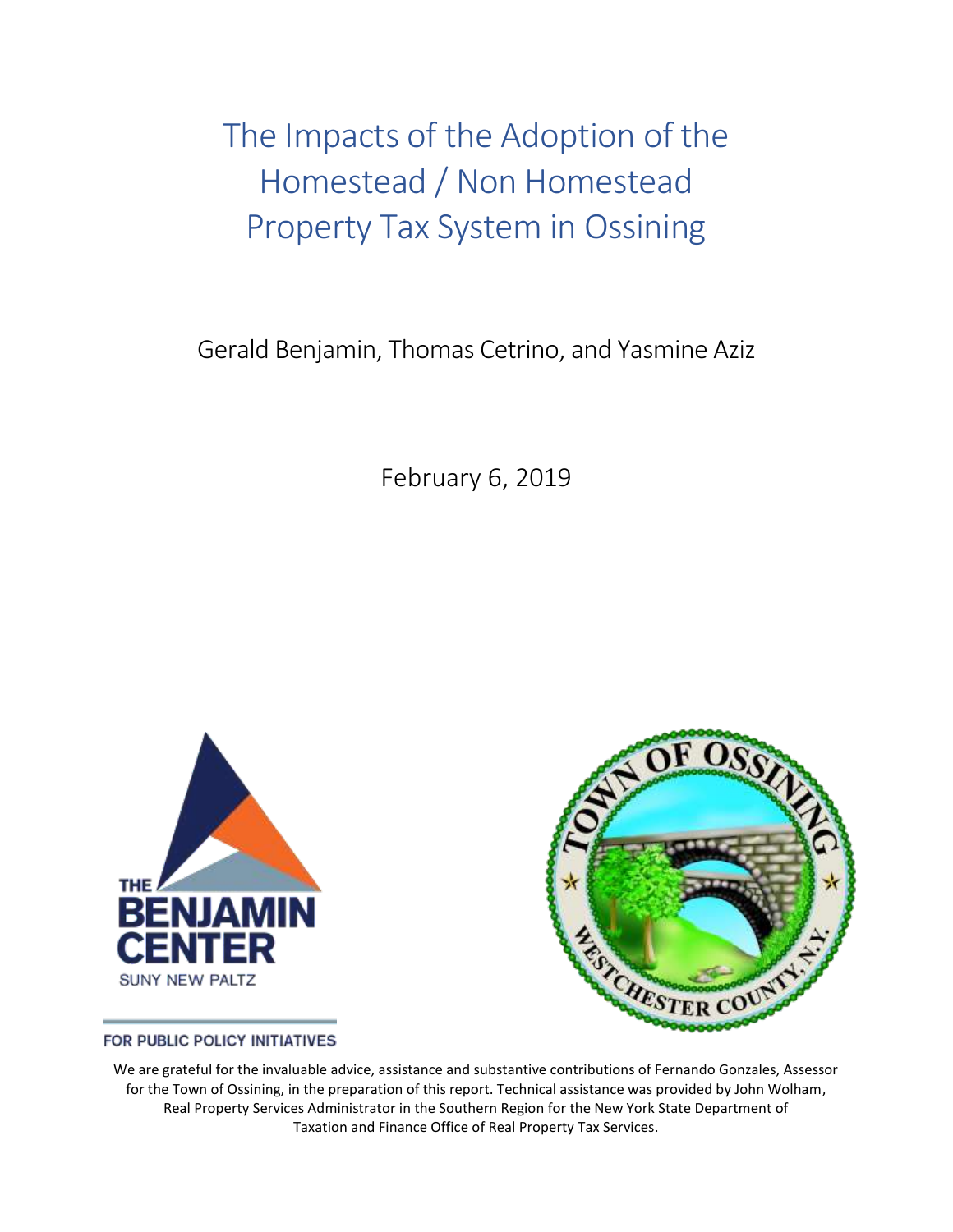The Impacts of the Adoption of the Homestead / Non Homestead Property Tax System in Ossining

Gerald Benjamin, Thomas Cetrino, and Yasmine Aziz

February 6, 2019





FOR PUBLIC POLICY INITIATIVES

We are grateful for the invaluable advice, assistance and substantive contributions of Fernando Gonzales, Assessor for the Town of Ossining, in the preparation of this report. Technical assistance was provided by John Wolham, Real Property Services Administrator in the Southern Region for the New York State Department of Taxation and Finance Office of Real Property Tax Services.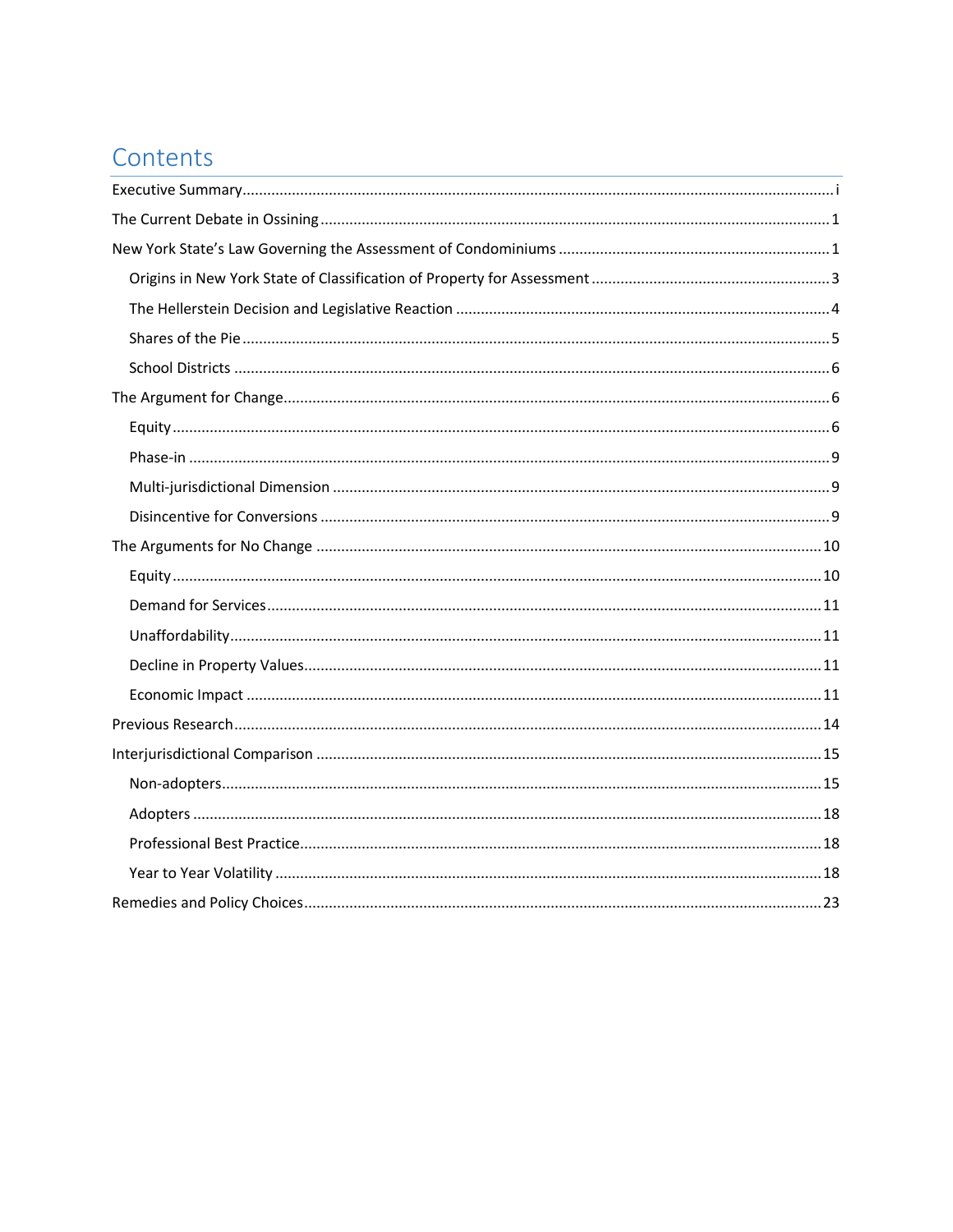# Contents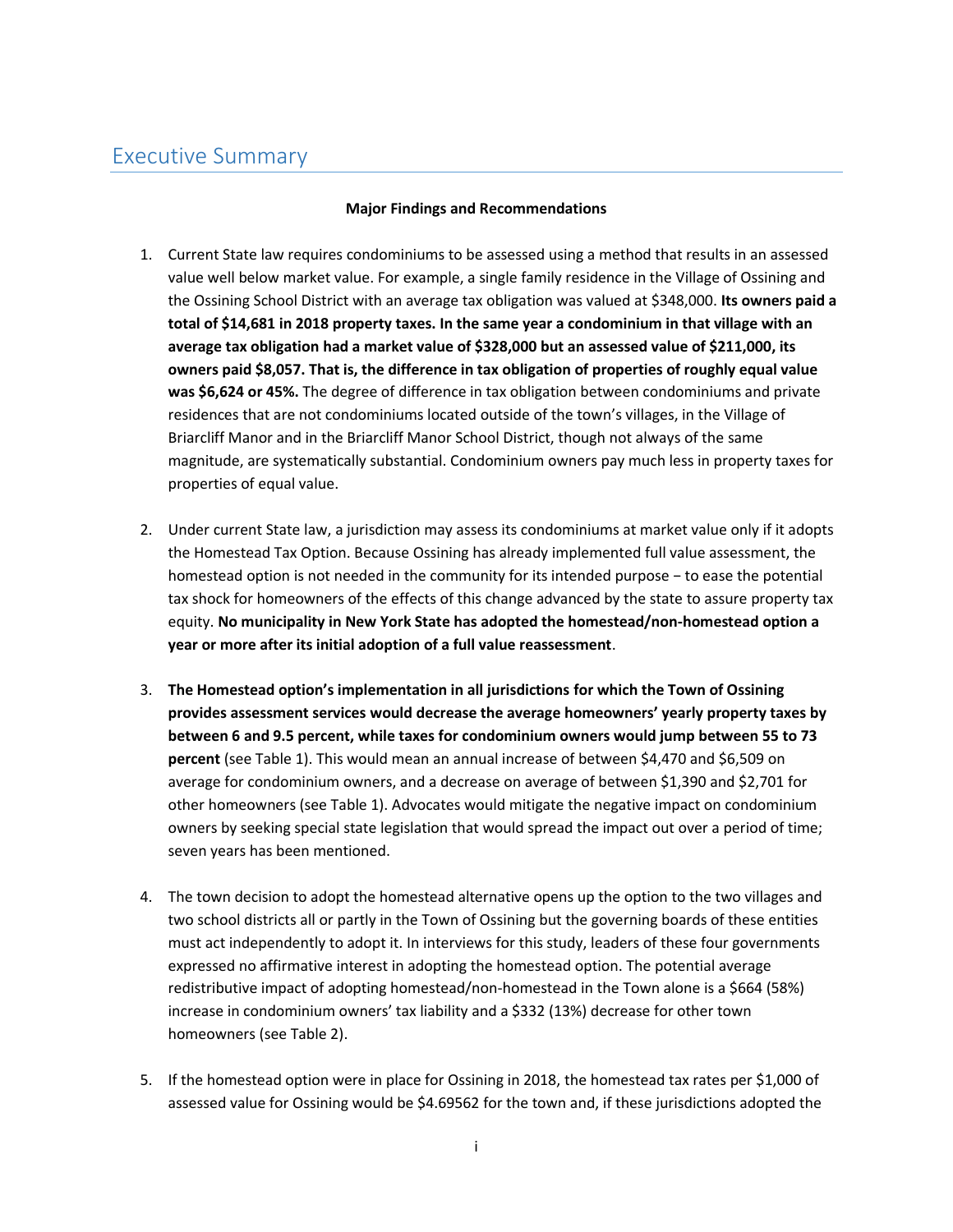# <span id="page-2-0"></span>Executive Summary

#### **Major Findings and Recommendations**

- 1. Current State law requires condominiums to be assessed using a method that results in an assessed value well below market value. For example, a single family residence in the Village of Ossining and the Ossining School District with an average tax obligation was valued at \$348,000. **Its owners paid a total of \$14,681 in 2018 property taxes. In the same year a condominium in that village with an average tax obligation had a market value of \$328,000 but an assessed value of \$211,000, its owners paid \$8,057. That is, the difference in tax obligation of properties of roughly equal value was \$6,624 or 45%.** The degree of difference in tax obligation between condominiums and private residences that are not condominiums located outside of the town's villages, in the Village of Briarcliff Manor and in the Briarcliff Manor School District, though not always of the same magnitude, are systematically substantial. Condominium owners pay much less in property taxes for properties of equal value.
- 2. Under current State law, a jurisdiction may assess its condominiums at market value only if it adopts the Homestead Tax Option. Because Ossining has already implemented full value assessment, the homestead option is not needed in the community for its intended purpose − to ease the potential tax shock for homeowners of the effects of this change advanced by the state to assure property tax equity. **No municipality in New York State has adopted the homestead/non-homestead option a year or more after its initial adoption of a full value reassessment**.
- 3. **The Homestead option's implementation in all jurisdictions for which the Town of Ossining provides assessment services would decrease the average homeowners' yearly property taxes by between 6 and 9.5 percent, while taxes for condominium owners would jump between 55 to 73 percent** (see Table 1). This would mean an annual increase of between \$4,470 and \$6,509 on average for condominium owners, and a decrease on average of between \$1,390 and \$2,701 for other homeowners (see Table 1). Advocates would mitigate the negative impact on condominium owners by seeking special state legislation that would spread the impact out over a period of time; seven years has been mentioned.
- 4. The town decision to adopt the homestead alternative opens up the option to the two villages and two school districts all or partly in the Town of Ossining but the governing boards of these entities must act independently to adopt it. In interviews for this study, leaders of these four governments expressed no affirmative interest in adopting the homestead option. The potential average redistributive impact of adopting homestead/non-homestead in the Town alone is a \$664 (58%) increase in condominium owners' tax liability and a \$332 (13%) decrease for other town homeowners (see Table 2).
- 5. If the homestead option were in place for Ossining in 2018, the homestead tax rates per \$1,000 of assessed value for Ossining would be \$4.69562 for the town and, if these jurisdictions adopted the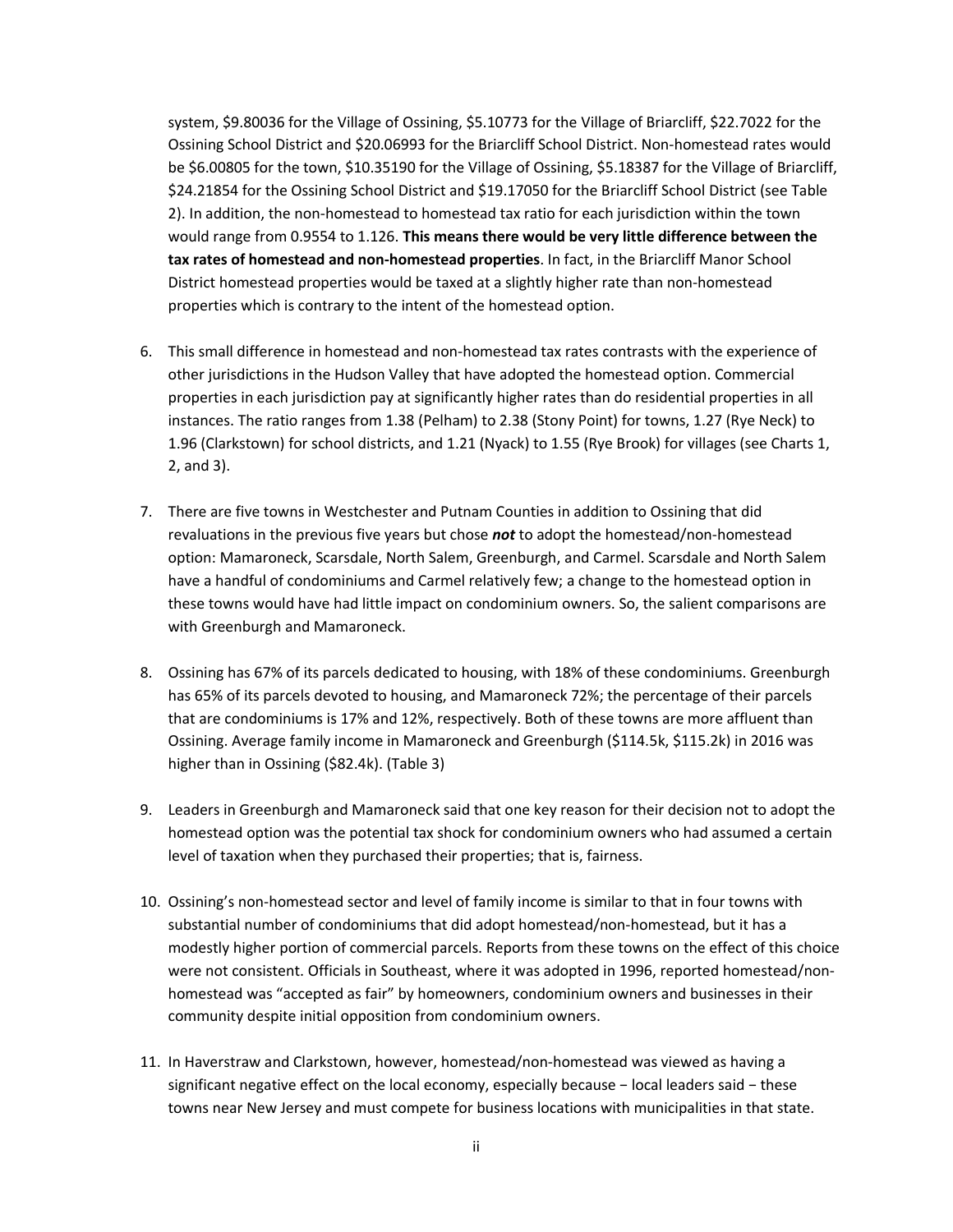system, \$9.80036 for the Village of Ossining, \$5.10773 for the Village of Briarcliff, \$22.7022 for the Ossining School District and \$20.06993 for the Briarcliff School District. Non-homestead rates would be \$6.00805 for the town, \$10.35190 for the Village of Ossining, \$5.18387 for the Village of Briarcliff, \$24.21854 for the Ossining School District and \$19.17050 for the Briarcliff School District (see Table 2). In addition, the non-homestead to homestead tax ratio for each jurisdiction within the town would range from 0.9554 to 1.126. **This means there would be very little difference between the tax rates of homestead and non-homestead properties**. In fact, in the Briarcliff Manor School District homestead properties would be taxed at a slightly higher rate than non-homestead properties which is contrary to the intent of the homestead option.

- 6. This small difference in homestead and non-homestead tax rates contrasts with the experience of other jurisdictions in the Hudson Valley that have adopted the homestead option. Commercial properties in each jurisdiction pay at significantly higher rates than do residential properties in all instances. The ratio ranges from 1.38 (Pelham) to 2.38 (Stony Point) for towns, 1.27 (Rye Neck) to 1.96 (Clarkstown) for school districts, and 1.21 (Nyack) to 1.55 (Rye Brook) for villages (see Charts 1, 2, and 3).
- 7. There are five towns in Westchester and Putnam Counties in addition to Ossining that did revaluations in the previous five years but chose *not* to adopt the homestead/non-homestead option: Mamaroneck, Scarsdale, North Salem, Greenburgh, and Carmel. Scarsdale and North Salem have a handful of condominiums and Carmel relatively few; a change to the homestead option in these towns would have had little impact on condominium owners. So, the salient comparisons are with Greenburgh and Mamaroneck.
- 8. Ossining has 67% of its parcels dedicated to housing, with 18% of these condominiums. Greenburgh has 65% of its parcels devoted to housing, and Mamaroneck 72%; the percentage of their parcels that are condominiums is 17% and 12%, respectively. Both of these towns are more affluent than Ossining. Average family income in Mamaroneck and Greenburgh (\$114.5k, \$115.2k) in 2016 was higher than in Ossining (\$82.4k). (Table 3)
- 9. Leaders in Greenburgh and Mamaroneck said that one key reason for their decision not to adopt the homestead option was the potential tax shock for condominium owners who had assumed a certain level of taxation when they purchased their properties; that is, fairness.
- 10. Ossining's non-homestead sector and level of family income is similar to that in four towns with substantial number of condominiums that did adopt homestead/non-homestead, but it has a modestly higher portion of commercial parcels. Reports from these towns on the effect of this choice were not consistent. Officials in Southeast, where it was adopted in 1996, reported homestead/nonhomestead was "accepted as fair" by homeowners, condominium owners and businesses in their community despite initial opposition from condominium owners.
- 11. In Haverstraw and Clarkstown, however, homestead/non-homestead was viewed as having a significant negative effect on the local economy, especially because − local leaders said − these towns near New Jersey and must compete for business locations with municipalities in that state.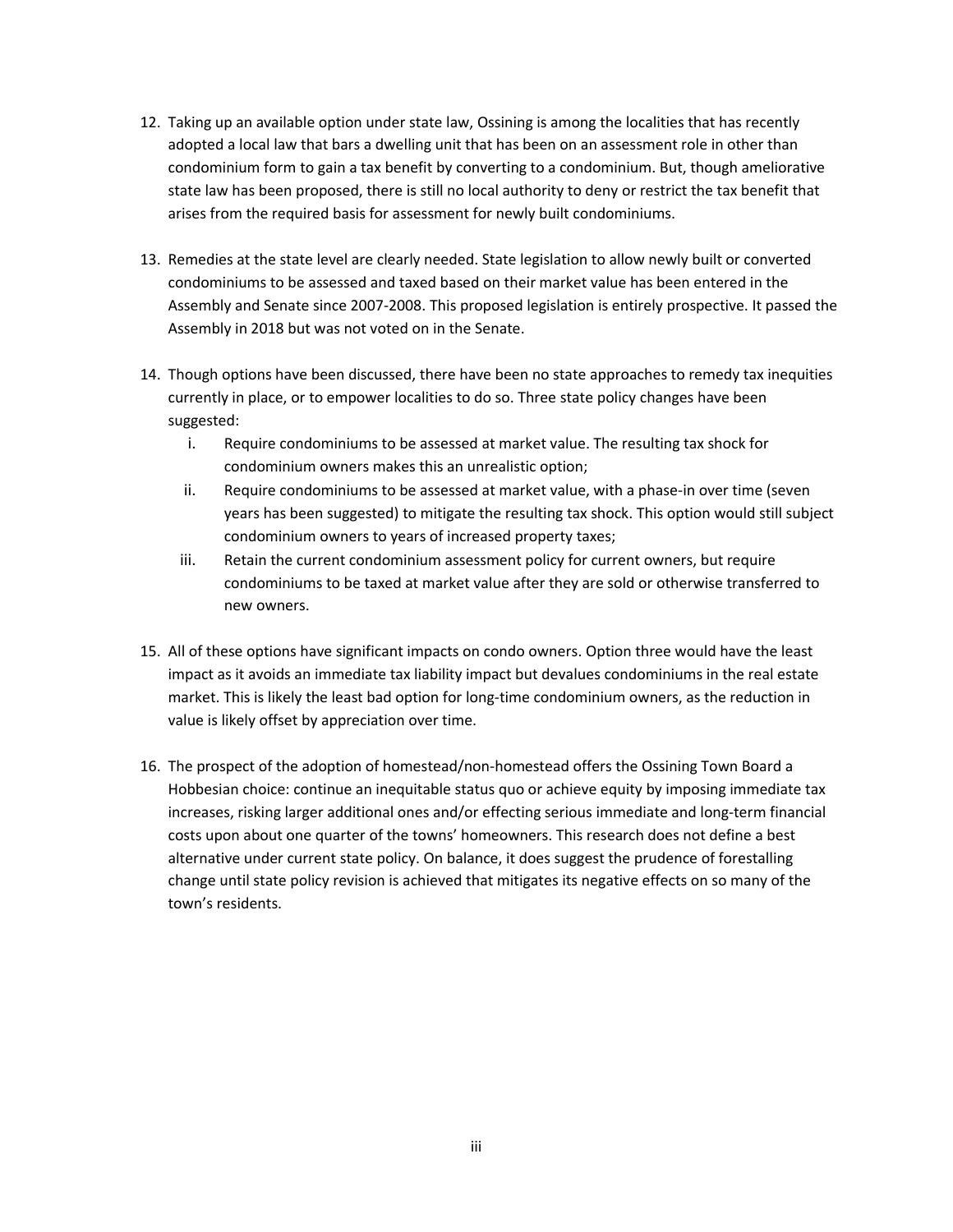- 12. Taking up an available option under state law, Ossining is among the localities that has recently adopted a local law that bars a dwelling unit that has been on an assessment role in other than condominium form to gain a tax benefit by converting to a condominium. But, though ameliorative state law has been proposed, there is still no local authority to deny or restrict the tax benefit that arises from the required basis for assessment for newly built condominiums.
- 13. Remedies at the state level are clearly needed. State legislation to allow newly built or converted condominiums to be assessed and taxed based on their market value has been entered in the Assembly and Senate since 2007-2008. This proposed legislation is entirely prospective. It passed the Assembly in 2018 but was not voted on in the Senate.
- 14. Though options have been discussed, there have been no state approaches to remedy tax inequities currently in place, or to empower localities to do so. Three state policy changes have been suggested:
	- i. Require condominiums to be assessed at market value. The resulting tax shock for condominium owners makes this an unrealistic option;
	- ii. Require condominiums to be assessed at market value, with a phase-in over time (seven years has been suggested) to mitigate the resulting tax shock. This option would still subject condominium owners to years of increased property taxes;
	- iii. Retain the current condominium assessment policy for current owners, but require condominiums to be taxed at market value after they are sold or otherwise transferred to new owners.
- 15. All of these options have significant impacts on condo owners. Option three would have the least impact as it avoids an immediate tax liability impact but devalues condominiums in the real estate market. This is likely the least bad option for long-time condominium owners, as the reduction in value is likely offset by appreciation over time.
- 16. The prospect of the adoption of homestead/non-homestead offers the Ossining Town Board a Hobbesian choice: continue an inequitable status quo or achieve equity by imposing immediate tax increases, risking larger additional ones and/or effecting serious immediate and long-term financial costs upon about one quarter of the towns' homeowners. This research does not define a best alternative under current state policy. On balance, it does suggest the prudence of forestalling change until state policy revision is achieved that mitigates its negative effects on so many of the town's residents.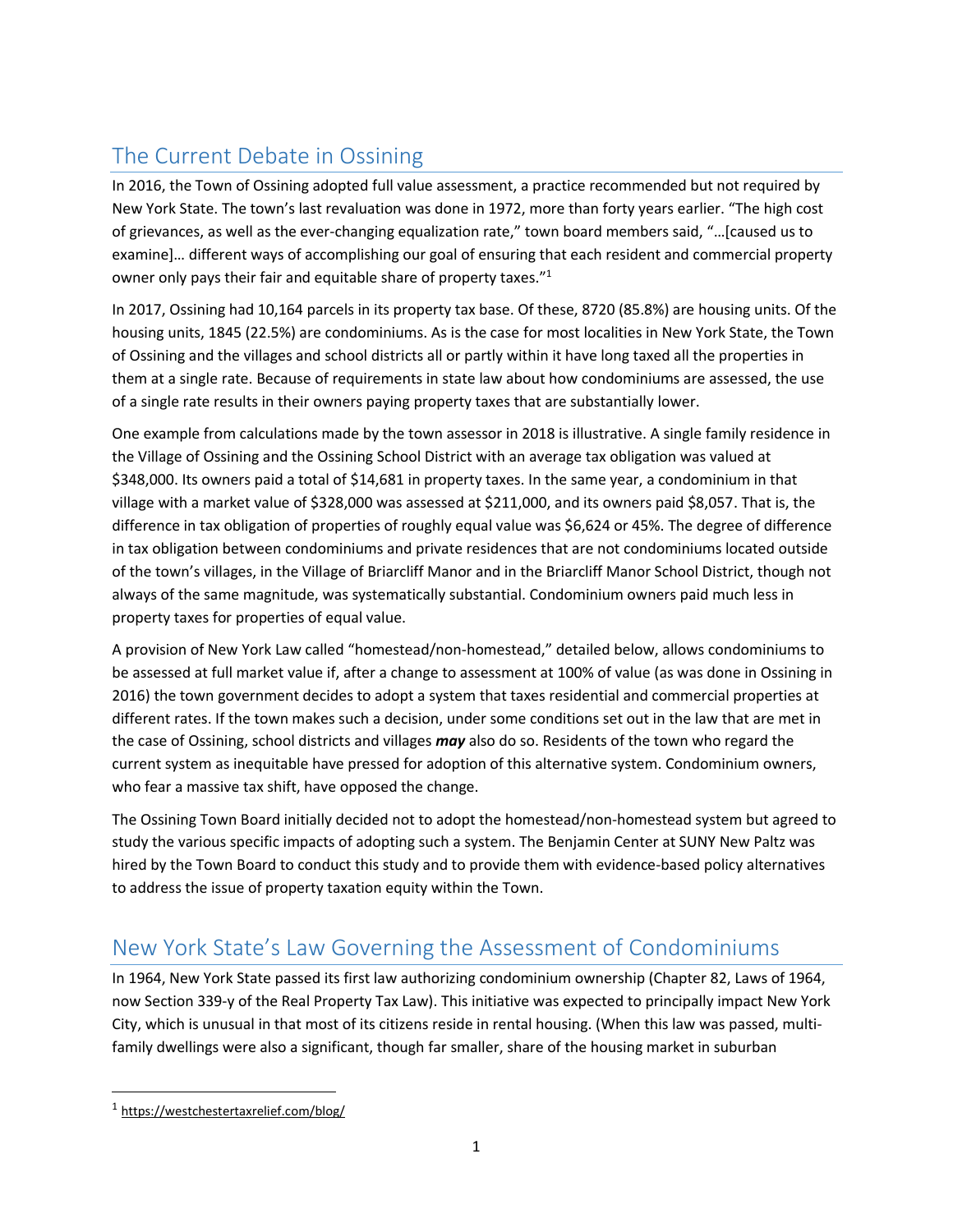# <span id="page-5-0"></span>The Current Debate in Ossining

In 2016, the Town of Ossining adopted full value assessment, a practice recommended but not required by New York State. The town's last revaluation was done in 1972, more than forty years earlier. "The high cost of grievances, as well as the ever-changing equalization rate," town board members said, "…[caused us to examine]… different ways of accomplishing our goal of ensuring that each resident and commercial property owner only pays their fair and equitable share of property taxes."<sup>1</sup>

In 2017, Ossining had 10,164 parcels in its property tax base. Of these, 8720 (85.8%) are housing units. Of the housing units, 1845 (22.5%) are condominiums. As is the case for most localities in New York State, the Town of Ossining and the villages and school districts all or partly within it have long taxed all the properties in them at a single rate. Because of requirements in state law about how condominiums are assessed, the use of a single rate results in their owners paying property taxes that are substantially lower.

One example from calculations made by the town assessor in 2018 is illustrative. A single family residence in the Village of Ossining and the Ossining School District with an average tax obligation was valued at \$348,000. Its owners paid a total of \$14,681 in property taxes. In the same year, a condominium in that village with a market value of \$328,000 was assessed at \$211,000, and its owners paid \$8,057. That is, the difference in tax obligation of properties of roughly equal value was \$6,624 or 45%. The degree of difference in tax obligation between condominiums and private residences that are not condominiums located outside of the town's villages, in the Village of Briarcliff Manor and in the Briarcliff Manor School District, though not always of the same magnitude, was systematically substantial. Condominium owners paid much less in property taxes for properties of equal value.

A provision of New York Law called "homestead/non-homestead," detailed below, allows condominiums to be assessed at full market value if, after a change to assessment at 100% of value (as was done in Ossining in 2016) the town government decides to adopt a system that taxes residential and commercial properties at different rates. If the town makes such a decision, under some conditions set out in the law that are met in the case of Ossining, school districts and villages *may* also do so. Residents of the town who regard the current system as inequitable have pressed for adoption of this alternative system. Condominium owners, who fear a massive tax shift, have opposed the change.

The Ossining Town Board initially decided not to adopt the homestead/non-homestead system but agreed to study the various specific impacts of adopting such a system. The Benjamin Center at SUNY New Paltz was hired by the Town Board to conduct this study and to provide them with evidence-based policy alternatives to address the issue of property taxation equity within the Town.

# <span id="page-5-1"></span>New York State's Law Governing the Assessment of Condominiums

In 1964, New York State passed its first law authorizing condominium ownership (Chapter 82, Laws of 1964, now Section 339-y of the Real Property Tax Law). This initiative was expected to principally impact New York City, which is unusual in that most of its citizens reside in rental housing. (When this law was passed, multifamily dwellings were also a significant, though far smaller, share of the housing market in suburban

 $\overline{\phantom{a}}$ 

<sup>1</sup> <https://westchestertaxrelief.com/blog/>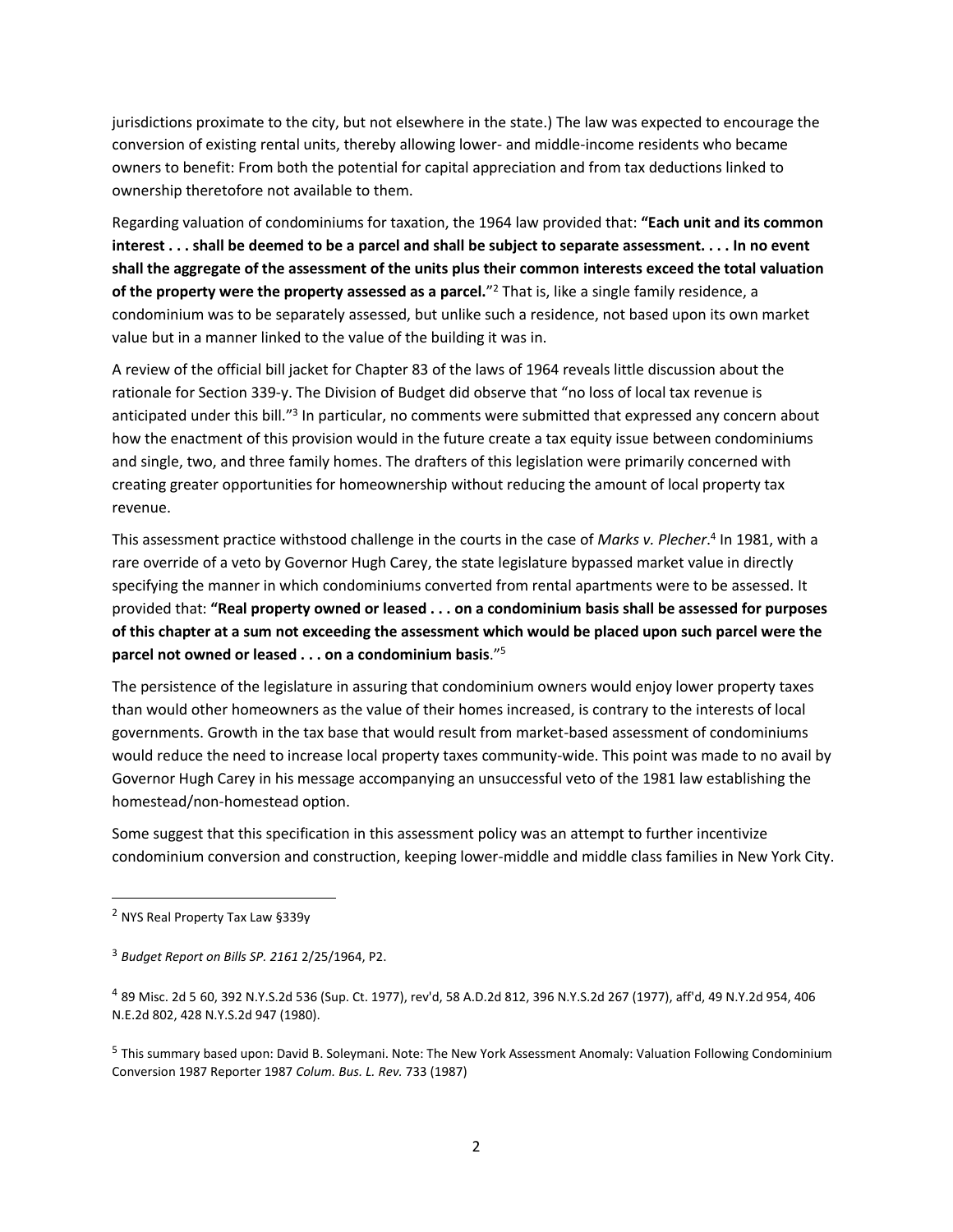jurisdictions proximate to the city, but not elsewhere in the state.) The law was expected to encourage the conversion of existing rental units, thereby allowing lower- and middle-income residents who became owners to benefit: From both the potential for capital appreciation and from tax deductions linked to ownership theretofore not available to them.

Regarding valuation of condominiums for taxation, the 1964 law provided that: **"Each unit and its common interest . . . shall be deemed to be a parcel and shall be subject to separate assessment. . . . In no event shall the aggregate of the assessment of the units plus their common interests exceed the total valuation of the property were the property assessed as a parcel.**" <sup>2</sup> That is, like a single family residence, a condominium was to be separately assessed, but unlike such a residence, not based upon its own market value but in a manner linked to the value of the building it was in.

A review of the official bill jacket for Chapter 83 of the laws of 1964 reveals little discussion about the rationale for Section 339-y. The Division of Budget did observe that "no loss of local tax revenue is anticipated under this bill."<sup>3</sup> In particular, no comments were submitted that expressed any concern about how the enactment of this provision would in the future create a tax equity issue between condominiums and single, two, and three family homes. The drafters of this legislation were primarily concerned with creating greater opportunities for homeownership without reducing the amount of local property tax revenue.

This assessment practice withstood challenge in the courts in the case of *Marks v. Plecher*. 4 In 1981, with a rare override of a veto by Governor Hugh Carey, the state legislature bypassed market value in directly specifying the manner in which condominiums converted from rental apartments were to be assessed. It provided that: **"Real property owned or leased . . . on a condominium basis shall be assessed for purposes of this chapter at a sum not exceeding the assessment which would be placed upon such parcel were the parcel not owned or leased . . . on a condominium basis**."<sup>5</sup>

The persistence of the legislature in assuring that condominium owners would enjoy lower property taxes than would other homeowners as the value of their homes increased, is contrary to the interests of local governments. Growth in the tax base that would result from market-based assessment of condominiums would reduce the need to increase local property taxes community-wide. This point was made to no avail by Governor Hugh Carey in his message accompanying an unsuccessful veto of the 1981 law establishing the homestead/non-homestead option.

Some suggest that this specification in this assessment policy was an attempt to further incentivize condominium conversion and construction, keeping lower-middle and middle class families in New York City.

 $\overline{\phantom{a}}$ 

<sup>2</sup> NYS Real Property Tax Law §339y

<sup>3</sup> *Budget Report on Bills SP. 2161* 2/25/1964, P2.

<sup>4</sup> 89 Misc. 2d 5 60, 392 N.Y.S.2d 536 (Sup. Ct. 1977), rev'd, 58 A.D.2d 812, 396 N.Y.S.2d 267 (1977), aff'd, 49 N.Y.2d 954, 406 N.E.2d 802, 428 N.Y.S.2d 947 (1980).

<sup>&</sup>lt;sup>5</sup> This summary based upon: David B. Soleymani. Note: The New York Assessment Anomaly: Valuation Following Condominium Conversion 1987 Reporter 1987 *Colum. Bus. L. Rev.* 733 (1987)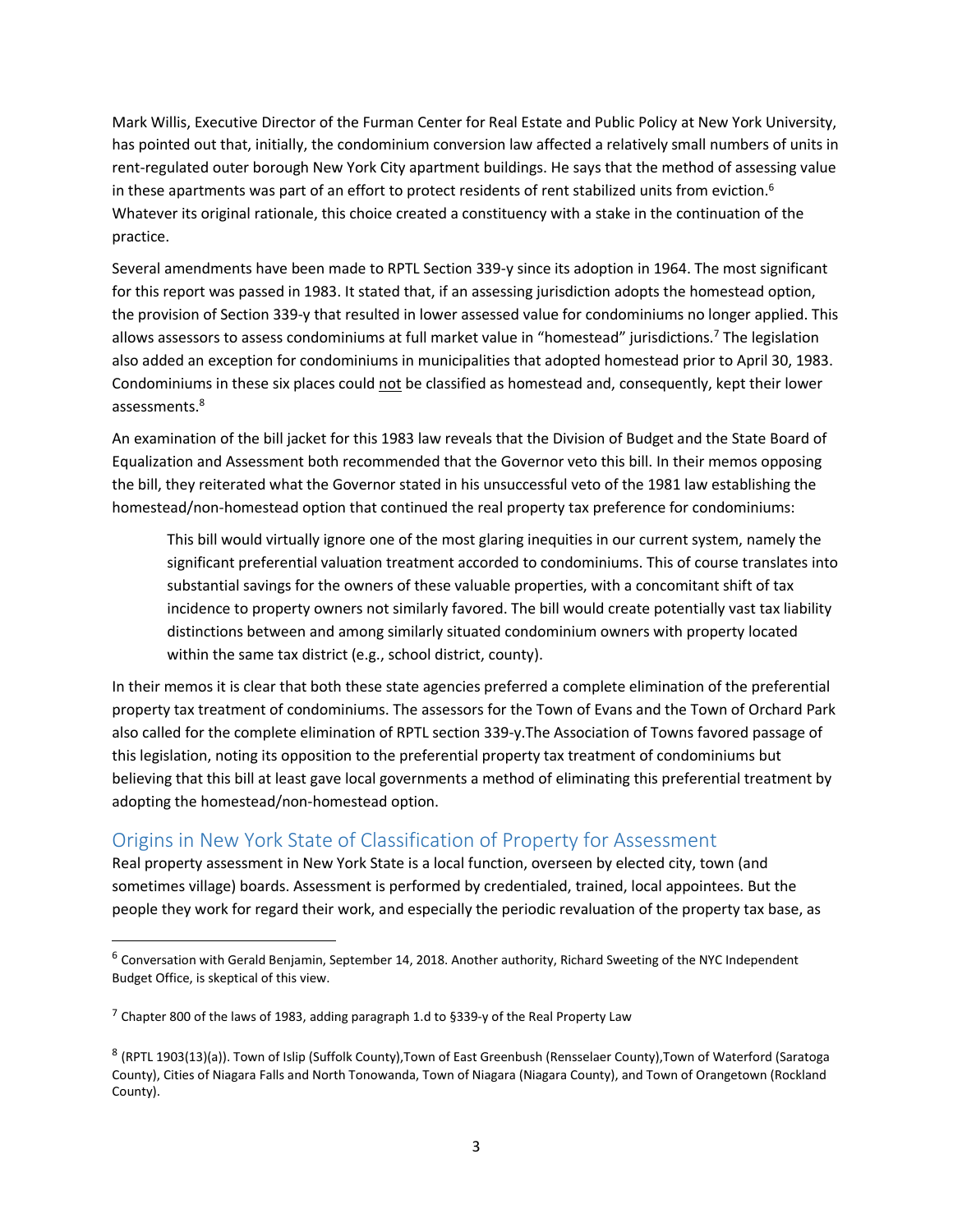Mark Willis, Executive Director of the Furman Center for Real Estate and Public Policy at New York University, has pointed out that, initially, the condominium conversion law affected a relatively small numbers of units in rent-regulated outer borough New York City apartment buildings. He says that the method of assessing value in these apartments was part of an effort to protect residents of rent stabilized units from eviction.<sup>6</sup> Whatever its original rationale, this choice created a constituency with a stake in the continuation of the practice.

Several amendments have been made to RPTL Section 339-y since its adoption in 1964. The most significant for this report was passed in 1983. It stated that, if an assessing jurisdiction adopts the homestead option, the provision of Section 339-y that resulted in lower assessed value for condominiums no longer applied. This allows assessors to assess condominiums at full market value in "homestead" jurisdictions.<sup>7</sup> The legislation also added an exception for condominiums in municipalities that adopted homestead prior to April 30, 1983. Condominiums in these six places could not be classified as homestead and, consequently, kept their lower assessments. 8

An examination of the bill jacket for this 1983 law reveals that the Division of Budget and the State Board of Equalization and Assessment both recommended that the Governor veto this bill. In their memos opposing the bill, they reiterated what the Governor stated in his unsuccessful veto of the 1981 law establishing the homestead/non-homestead option that continued the real property tax preference for condominiums:

This bill would virtually ignore one of the most glaring inequities in our current system, namely the significant preferential valuation treatment accorded to condominiums. This of course translates into substantial savings for the owners of these valuable properties, with a concomitant shift of tax incidence to property owners not similarly favored. The bill would create potentially vast tax liability distinctions between and among similarly situated condominium owners with property located within the same tax district (e.g., school district, county).

In their memos it is clear that both these state agencies preferred a complete elimination of the preferential property tax treatment of condominiums. The assessors for the Town of Evans and the Town of Orchard Park also called for the complete elimination of RPTL section 339-y.The Association of Towns favored passage of this legislation, noting its opposition to the preferential property tax treatment of condominiums but believing that this bill at least gave local governments a method of eliminating this preferential treatment by adopting the homestead/non-homestead option.

## <span id="page-7-0"></span>Origins in New York State of Classification of Property for Assessment

Real property assessment in New York State is a local function, overseen by elected city, town (and sometimes village) boards. Assessment is performed by credentialed, trained, local appointees. But the people they work for regard their work, and especially the periodic revaluation of the property tax base, as

 $\overline{a}$ 

 $6$  Conversation with Gerald Benjamin, September 14, 2018. Another authority, Richard Sweeting of the NYC Independent Budget Office, is skeptical of this view.

<sup>7</sup> Chapter 800 of the laws of 1983, adding paragraph 1.d to §339-y of the Real Property Law

<sup>8</sup> (RPTL 1903(13)(a)). Town of Islip (Suffolk County),Town of East Greenbush (Rensselaer County),Town of Waterford (Saratoga County), Cities of Niagara Falls and North Tonowanda, Town of Niagara (Niagara County), and Town of Orangetown (Rockland County).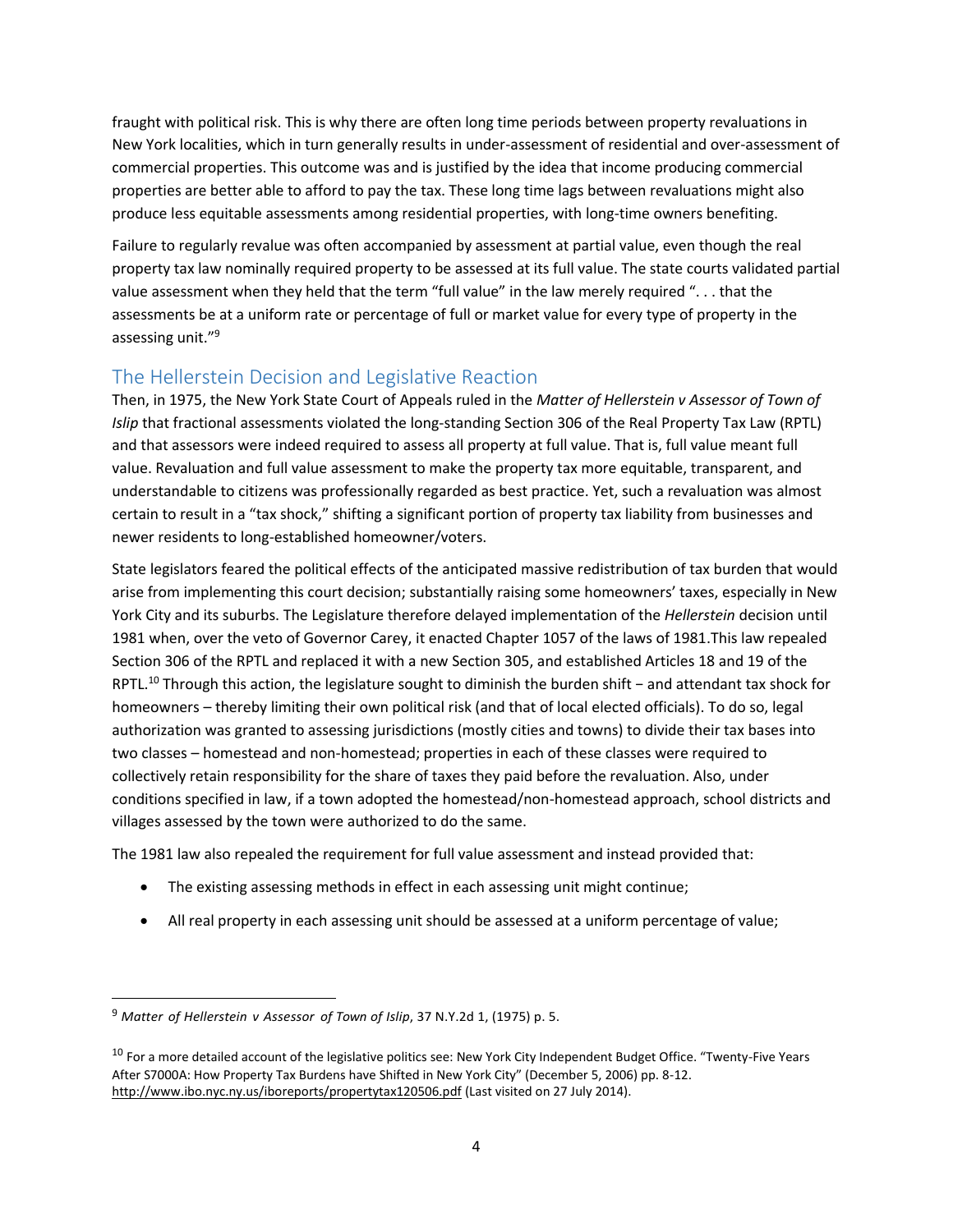fraught with political risk. This is why there are often long time periods between property revaluations in New York localities, which in turn generally results in under-assessment of residential and over-assessment of commercial properties. This outcome was and is justified by the idea that income producing commercial properties are better able to afford to pay the tax. These long time lags between revaluations might also produce less equitable assessments among residential properties, with long-time owners benefiting.

Failure to regularly revalue was often accompanied by assessment at partial value, even though the real property tax law nominally required property to be assessed at its full value. The state courts validated partial value assessment when they held that the term "full value" in the law merely required ". . . that the assessments be at a uniform rate or percentage of full or market value for every type of property in the assessing unit."<sup>9</sup>

## <span id="page-8-0"></span>The Hellerstein Decision and Legislative Reaction

Then, in 1975, the New York State Court of Appeals ruled in the *Matter of Hellerstein v Assessor of Town of Islip* that fractional assessments violated the long-standing Section 306 of the Real Property Tax Law (RPTL) and that assessors were indeed required to assess all property at full value. That is, full value meant full value. Revaluation and full value assessment to make the property tax more equitable, transparent, and understandable to citizens was professionally regarded as best practice. Yet, such a revaluation was almost certain to result in a "tax shock," shifting a significant portion of property tax liability from businesses and newer residents to long-established homeowner/voters.

State legislators feared the political effects of the anticipated massive redistribution of tax burden that would arise from implementing this court decision; substantially raising some homeowners' taxes, especially in New York City and its suburbs. The Legislature therefore delayed implementation of the *Hellerstein* decision until 1981 when, over the veto of Governor Carey, it enacted Chapter 1057 of the laws of 1981.This law repealed Section 306 of the RPTL and replaced it with a new Section 305, and established Articles 18 and 19 of the RPTL.<sup>10</sup> Through this action, the legislature sought to diminish the burden shift − and attendant tax shock for homeowners – thereby limiting their own political risk (and that of local elected officials). To do so, legal authorization was granted to assessing jurisdictions (mostly cities and towns) to divide their tax bases into two classes – homestead and non-homestead; properties in each of these classes were required to collectively retain responsibility for the share of taxes they paid before the revaluation. Also, under conditions specified in law, if a town adopted the homestead/non-homestead approach, school districts and villages assessed by the town were authorized to do the same.

The 1981 law also repealed the requirement for full value assessment and instead provided that:

- The existing assessing methods in effect in each assessing unit might continue;
- All real property in each assessing unit should be assessed at a uniform percentage of value;

 $\overline{\phantom{a}}$ 

<sup>9</sup> *Matter of Hellerstein v Assessor of Town of Islip*, 37 N.Y.2d 1, (1975) p. 5.

<sup>&</sup>lt;sup>10</sup> For a more detailed account of the legislative politics see: New York City Independent Budget Office. "Twenty-Five Years After S7000A: How Property Tax Burdens have Shifted in New York City" (December 5, 2006) pp. 8-12. <http://www.ibo.nyc.ny.us/iboreports/propertytax120506.pdf> (Last visited on 27 July 2014).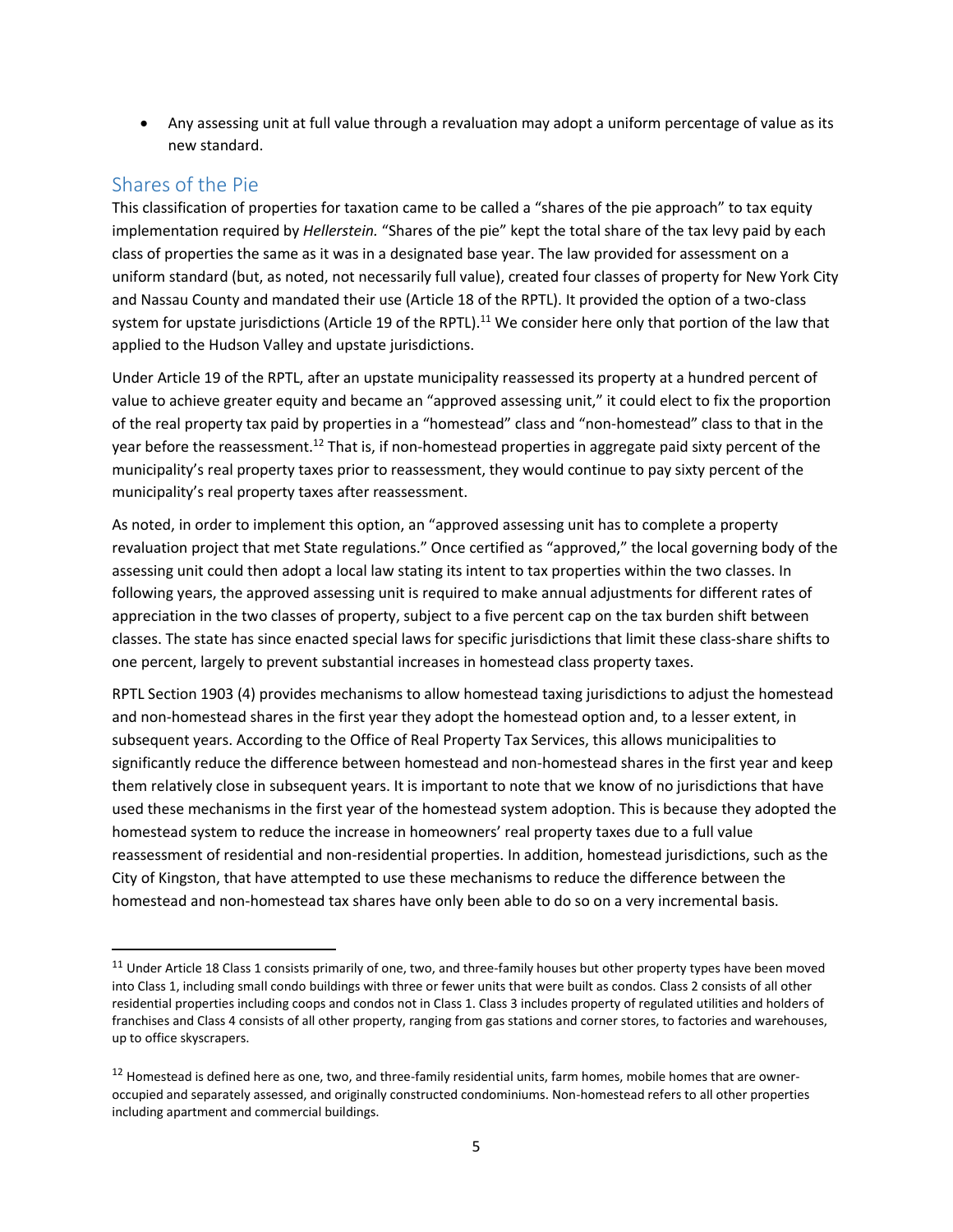Any assessing unit at full value through a revaluation may adopt a uniform percentage of value as its new standard.

#### <span id="page-9-0"></span>Shares of the Pie

 $\overline{a}$ 

This classification of properties for taxation came to be called a "shares of the pie approach" to tax equity implementation required by *Hellerstein.* "Shares of the pie" kept the total share of the tax levy paid by each class of properties the same as it was in a designated base year. The law provided for assessment on a uniform standard (but, as noted, not necessarily full value), created four classes of property for New York City and Nassau County and mandated their use (Article 18 of the RPTL). It provided the option of a two-class system for upstate jurisdictions (Article 19 of the RPTL).<sup>11</sup> We consider here only that portion of the law that applied to the Hudson Valley and upstate jurisdictions.

Under Article 19 of the RPTL, after an upstate municipality reassessed its property at a hundred percent of value to achieve greater equity and became an "approved assessing unit," it could elect to fix the proportion of the real property tax paid by properties in a "homestead" class and "non-homestead" class to that in the year before the reassessment.<sup>12</sup> That is, if non-homestead properties in aggregate paid sixty percent of the municipality's real property taxes prior to reassessment, they would continue to pay sixty percent of the municipality's real property taxes after reassessment.

As noted, in order to implement this option, an "approved assessing unit has to complete a property revaluation project that met State regulations." Once certified as "approved," the local governing body of the assessing unit could then adopt a local law stating its intent to tax properties within the two classes. In following years, the approved assessing unit is required to make annual adjustments for different rates of appreciation in the two classes of property, subject to a five percent cap on the tax burden shift between classes. The state has since enacted special laws for specific jurisdictions that limit these class-share shifts to one percent, largely to prevent substantial increases in homestead class property taxes.

RPTL Section 1903 (4) provides mechanisms to allow homestead taxing jurisdictions to adjust the homestead and non-homestead shares in the first year they adopt the homestead option and, to a lesser extent, in subsequent years. According to the Office of Real Property Tax Services, this allows municipalities to significantly reduce the difference between homestead and non-homestead shares in the first year and keep them relatively close in subsequent years. It is important to note that we know of no jurisdictions that have used these mechanisms in the first year of the homestead system adoption. This is because they adopted the homestead system to reduce the increase in homeowners' real property taxes due to a full value reassessment of residential and non-residential properties. In addition, homestead jurisdictions, such as the City of Kingston, that have attempted to use these mechanisms to reduce the difference between the homestead and non-homestead tax shares have only been able to do so on a very incremental basis.

<sup>&</sup>lt;sup>11</sup> Under Article 18 Class 1 consists primarily of one, two, and three-family houses but other property types have been moved into Class 1, including small condo buildings with three or fewer units that were built as condos. Class 2 consists of all other residential properties including coops and condos not in Class 1. Class 3 includes property of regulated utilities and holders of franchises and Class 4 consists of all other property, ranging from gas stations and corner stores, to factories and warehouses, up to office skyscrapers.

 $12$  Homestead is defined here as one, two, and three-family residential units, farm homes, mobile homes that are owneroccupied and separately assessed, and originally constructed condominiums. Non-homestead refers to all other properties including apartment and commercial buildings.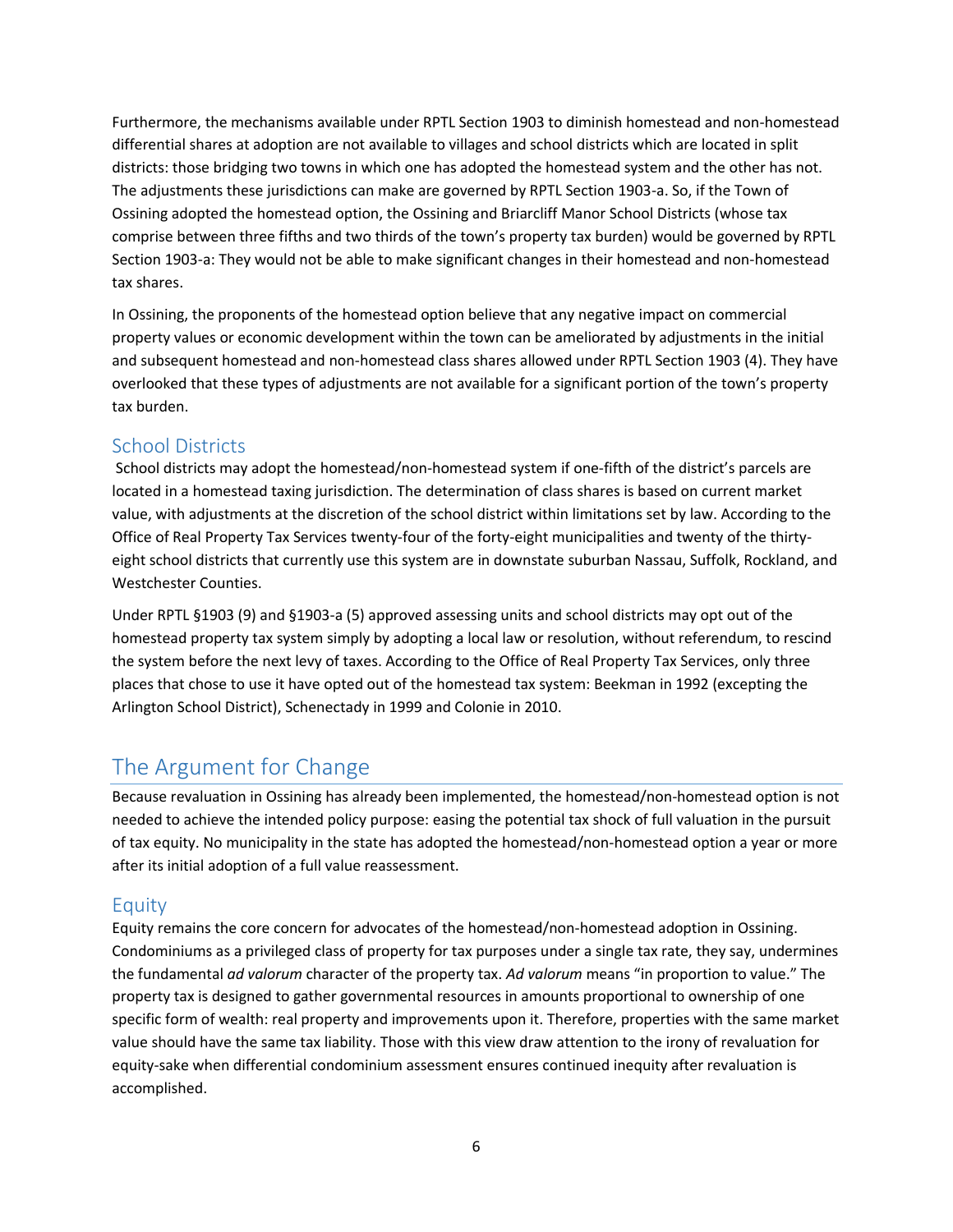Furthermore, the mechanisms available under RPTL Section 1903 to diminish homestead and non-homestead differential shares at adoption are not available to villages and school districts which are located in split districts: those bridging two towns in which one has adopted the homestead system and the other has not. The adjustments these jurisdictions can make are governed by RPTL Section 1903-a. So, if the Town of Ossining adopted the homestead option, the Ossining and Briarcliff Manor School Districts (whose tax comprise between three fifths and two thirds of the town's property tax burden) would be governed by RPTL Section 1903-a: They would not be able to make significant changes in their homestead and non-homestead tax shares.

In Ossining, the proponents of the homestead option believe that any negative impact on commercial property values or economic development within the town can be ameliorated by adjustments in the initial and subsequent homestead and non-homestead class shares allowed under RPTL Section 1903 (4). They have overlooked that these types of adjustments are not available for a significant portion of the town's property tax burden.

### <span id="page-10-0"></span>School Districts

School districts may adopt the homestead/non-homestead system if one-fifth of the district's parcels are located in a homestead taxing jurisdiction. The determination of class shares is based on current market value, with adjustments at the discretion of the school district within limitations set by law. According to the Office of Real Property Tax Services twenty-four of the forty-eight municipalities and twenty of the thirtyeight school districts that currently use this system are in downstate suburban Nassau, Suffolk, Rockland, and Westchester Counties.

Under RPTL §1903 (9) and §1903-a (5) approved assessing units and school districts may opt out of the homestead property tax system simply by adopting a local law or resolution, without referendum, to rescind the system before the next levy of taxes. According to the Office of Real Property Tax Services, only three places that chose to use it have opted out of the homestead tax system: Beekman in 1992 (excepting the Arlington School District), Schenectady in 1999 and Colonie in 2010.

# <span id="page-10-1"></span>The Argument for Change

Because revaluation in Ossining has already been implemented, the homestead/non-homestead option is not needed to achieve the intended policy purpose: easing the potential tax shock of full valuation in the pursuit of tax equity. No municipality in the state has adopted the homestead/non-homestead option a year or more after its initial adoption of a full value reassessment.

### <span id="page-10-2"></span>Equity

Equity remains the core concern for advocates of the homestead/non-homestead adoption in Ossining. Condominiums as a privileged class of property for tax purposes under a single tax rate, they say, undermines the fundamental *ad valorum* character of the property tax. *Ad valorum* means "in proportion to value." The property tax is designed to gather governmental resources in amounts proportional to ownership of one specific form of wealth: real property and improvements upon it. Therefore, properties with the same market value should have the same tax liability. Those with this view draw attention to the irony of revaluation for equity-sake when differential condominium assessment ensures continued inequity after revaluation is accomplished.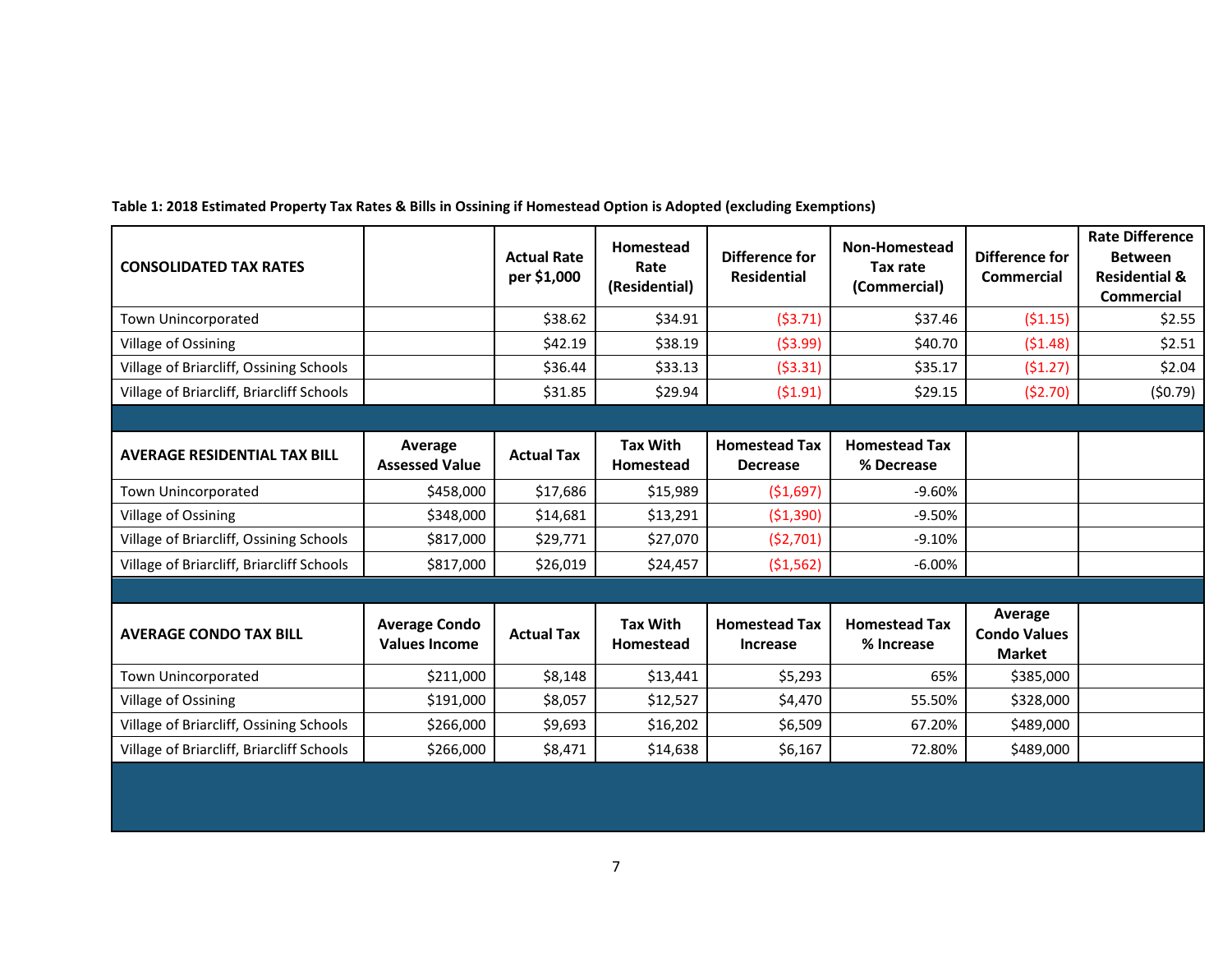| <b>CONSOLIDATED TAX RATES</b>             |                                              | <b>Actual Rate</b><br>per \$1,000 | Homestead<br>Rate<br>(Residential) | Difference for<br><b>Residential</b>    | <b>Non-Homestead</b><br>Tax rate<br>(Commercial) | Difference for<br><b>Commercial</b>             | <b>Rate Difference</b><br><b>Between</b><br><b>Residential &amp;</b><br><b>Commercial</b> |
|-------------------------------------------|----------------------------------------------|-----------------------------------|------------------------------------|-----------------------------------------|--------------------------------------------------|-------------------------------------------------|-------------------------------------------------------------------------------------------|
| Town Unincorporated                       |                                              | \$38.62                           | \$34.91                            | (53.71)                                 | \$37.46                                          | (51.15)                                         | \$2.55                                                                                    |
| Village of Ossining                       |                                              | \$42.19                           | \$38.19                            | (53.99)                                 | \$40.70                                          | (51.48)                                         | \$2.51                                                                                    |
| Village of Briarcliff, Ossining Schools   |                                              | \$36.44                           | \$33.13                            | (53.31)                                 | \$35.17                                          | (51.27)                                         | \$2.04                                                                                    |
| Village of Briarcliff, Briarcliff Schools |                                              | \$31.85                           | \$29.94                            | (51.91)                                 | \$29.15                                          | (52.70)                                         | (50.79)                                                                                   |
|                                           |                                              |                                   |                                    |                                         |                                                  |                                                 |                                                                                           |
| <b>AVERAGE RESIDENTIAL TAX BILL</b>       | Average<br><b>Assessed Value</b>             | <b>Actual Tax</b>                 | <b>Tax With</b><br>Homestead       | <b>Homestead Tax</b><br><b>Decrease</b> | <b>Homestead Tax</b><br>% Decrease               |                                                 |                                                                                           |
| Town Unincorporated                       | \$458,000                                    | \$17,686                          | \$15,989                           | (51,697)                                | $-9.60%$                                         |                                                 |                                                                                           |
| Village of Ossining                       | \$348,000                                    | \$14,681                          | \$13,291                           | ( \$1,390)                              | $-9.50%$                                         |                                                 |                                                                                           |
| Village of Briarcliff, Ossining Schools   | \$817,000                                    | \$29,771                          | \$27,070                           | (52,701)                                | $-9.10%$                                         |                                                 |                                                                                           |
| Village of Briarcliff, Briarcliff Schools | \$817,000                                    | \$26,019                          | \$24,457                           | (51, 562)                               | $-6.00\%$                                        |                                                 |                                                                                           |
|                                           |                                              |                                   |                                    |                                         |                                                  |                                                 |                                                                                           |
| <b>AVERAGE CONDO TAX BILL</b>             | <b>Average Condo</b><br><b>Values Income</b> | <b>Actual Tax</b>                 | <b>Tax With</b><br>Homestead       | <b>Homestead Tax</b><br><b>Increase</b> | <b>Homestead Tax</b><br>% Increase               | Average<br><b>Condo Values</b><br><b>Market</b> |                                                                                           |
| Town Unincorporated                       | \$211,000                                    | \$8,148                           | \$13,441                           | \$5,293                                 | 65%                                              | \$385,000                                       |                                                                                           |
| Village of Ossining                       | \$191,000                                    | \$8,057                           | \$12,527                           | \$4,470                                 | 55.50%                                           | \$328,000                                       |                                                                                           |
| Village of Briarcliff, Ossining Schools   | \$266,000                                    | \$9,693                           | \$16,202                           | \$6,509                                 | 67.20%                                           | \$489,000                                       |                                                                                           |
| Village of Briarcliff, Briarcliff Schools | \$266,000                                    | \$8,471                           | \$14,638                           | \$6,167                                 | 72.80%                                           | \$489,000                                       |                                                                                           |

**Table 1: 2018 Estimated Property Tax Rates & Bills in Ossining if Homestead Option is Adopted (excluding Exemptions)**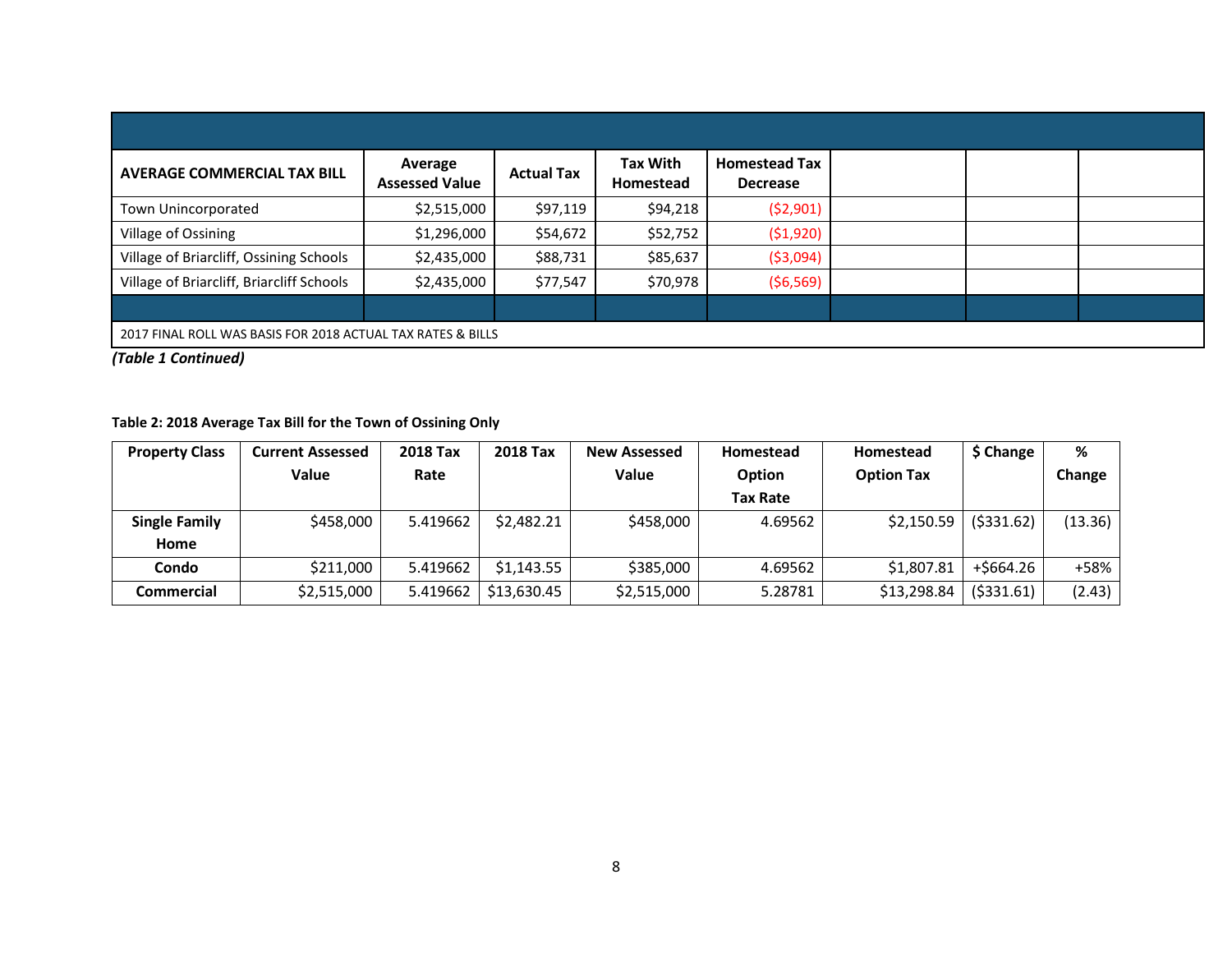| <b>AVERAGE COMMERCIAL TAX BILL</b>                          | Average<br><b>Assessed Value</b> | <b>Actual Tax</b> | <b>Tax With</b><br>Homestead | <b>Homestead Tax</b><br><b>Decrease</b> |  |  |  |  |
|-------------------------------------------------------------|----------------------------------|-------------------|------------------------------|-----------------------------------------|--|--|--|--|
| Town Unincorporated                                         | \$2,515,000                      | \$97,119          | \$94,218                     | (52,901)                                |  |  |  |  |
| Village of Ossining                                         | \$1,296,000                      | \$54,672          | \$52,752                     | (51,920)                                |  |  |  |  |
| Village of Briarcliff, Ossining Schools                     | \$2,435,000                      | \$88,731          | \$85,637                     | ( \$3,094)                              |  |  |  |  |
| Village of Briarcliff, Briarcliff Schools                   | \$2,435,000                      | \$77,547          | \$70,978                     | (56, 569)                               |  |  |  |  |
|                                                             |                                  |                   |                              |                                         |  |  |  |  |
| 2017 FINAL ROLL WAS BASIS FOR 2018 ACTUAL TAX RATES & BILLS |                                  |                   |                              |                                         |  |  |  |  |

*(Table 1 Continued)*

#### **Table 2: 2018 Average Tax Bill for the Town of Ossining Only**

| <b>Property Class</b> | <b>Current Assessed</b> | <b>2018 Tax</b> | <b>2018 Tax</b> | <b>New Assessed</b> | Homestead       | Homestead         | \$ Change   | %       |
|-----------------------|-------------------------|-----------------|-----------------|---------------------|-----------------|-------------------|-------------|---------|
|                       | <b>Value</b>            | Rate            |                 | <b>Value</b>        | Option          | <b>Option Tax</b> |             | Change  |
|                       |                         |                 |                 |                     | <b>Tax Rate</b> |                   |             |         |
| <b>Single Family</b>  | \$458,000               | 5.419662        | \$2,482.21      | \$458,000           | 4.69562         | \$2,150.59        | ( \$331.62) | (13.36) |
| Home                  |                         |                 |                 |                     |                 |                   |             |         |
| Condo                 | \$211,000               | 5.419662        | \$1.143.55      | \$385,000           | 4.69562         | \$1,807.81        | +\$664.26   | +58%    |
| <b>Commercial</b>     | \$2,515,000             | 5.419662        | \$13,630.45     | \$2,515,000         | 5.28781         | \$13,298.84       | ( \$331.61) | (2.43)  |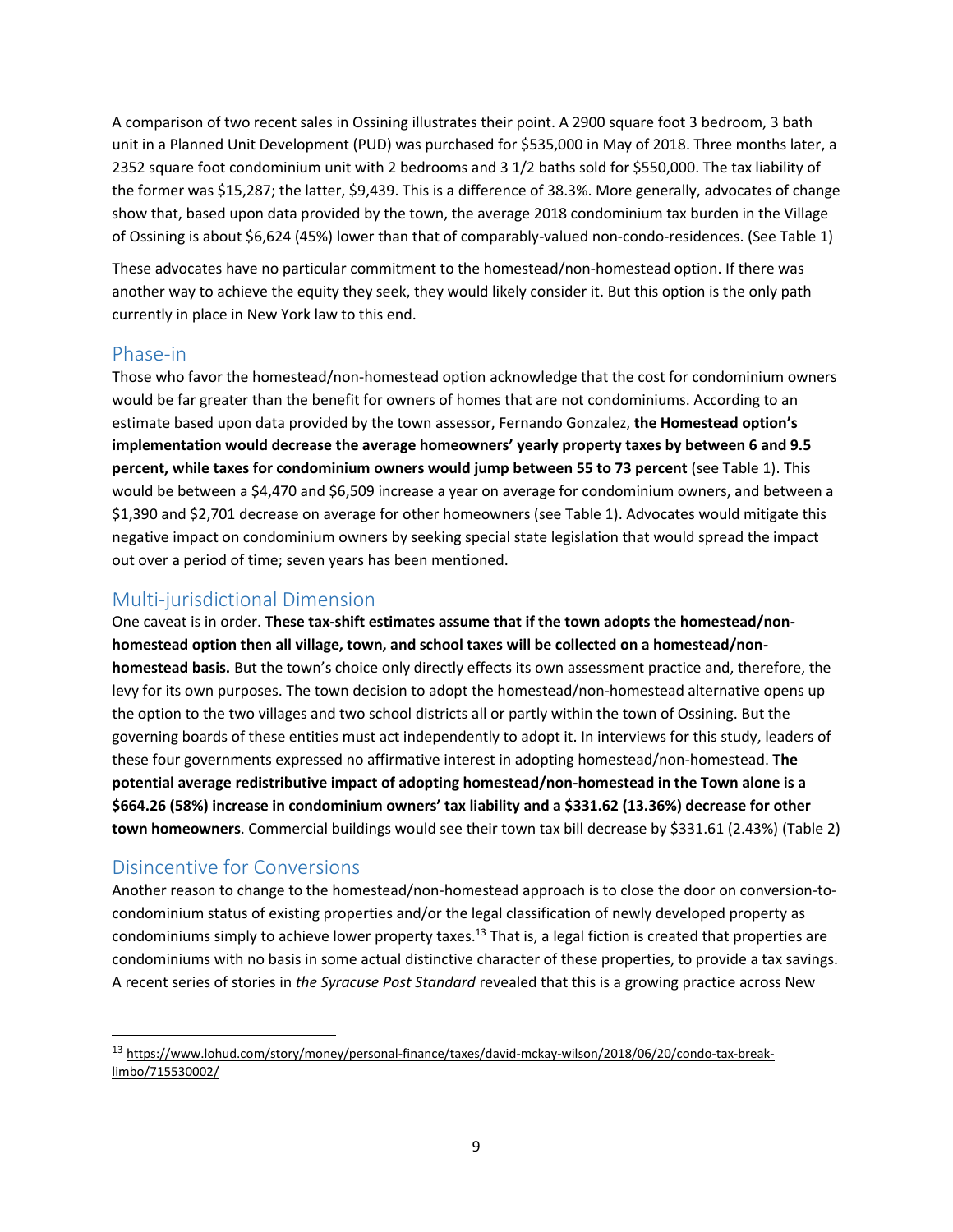A comparison of two recent sales in Ossining illustrates their point. A 2900 square foot 3 bedroom, 3 bath unit in a Planned Unit Development (PUD) was purchased for \$535,000 in May of 2018. Three months later, a 2352 square foot condominium unit with 2 bedrooms and 3 1/2 baths sold for \$550,000. The tax liability of the former was \$15,287; the latter, \$9,439. This is a difference of 38.3%. More generally, advocates of change show that, based upon data provided by the town, the average 2018 condominium tax burden in the Village of Ossining is about \$6,624 (45%) lower than that of comparably-valued non-condo-residences. (See Table 1)

These advocates have no particular commitment to the homestead/non-homestead option. If there was another way to achieve the equity they seek, they would likely consider it. But this option is the only path currently in place in New York law to this end.

### <span id="page-13-0"></span>Phase-in

Those who favor the homestead/non-homestead option acknowledge that the cost for condominium owners would be far greater than the benefit for owners of homes that are not condominiums. According to an estimate based upon data provided by the town assessor, Fernando Gonzalez, **the Homestead option's implementation would decrease the average homeowners' yearly property taxes by between 6 and 9.5 percent, while taxes for condominium owners would jump between 55 to 73 percent** (see Table 1). This would be between a \$4,470 and \$6,509 increase a year on average for condominium owners, and between a \$1,390 and \$2,701 decrease on average for other homeowners (see Table 1). Advocates would mitigate this negative impact on condominium owners by seeking special state legislation that would spread the impact out over a period of time; seven years has been mentioned.

## <span id="page-13-1"></span>Multi-jurisdictional Dimension

One caveat is in order. **These tax-shift estimates assume that if the town adopts the homestead/nonhomestead option then all village, town, and school taxes will be collected on a homestead/nonhomestead basis.** But the town's choice only directly effects its own assessment practice and, therefore, the levy for its own purposes. The town decision to adopt the homestead/non-homestead alternative opens up the option to the two villages and two school districts all or partly within the town of Ossining. But the governing boards of these entities must act independently to adopt it. In interviews for this study, leaders of these four governments expressed no affirmative interest in adopting homestead/non-homestead. **The potential average redistributive impact of adopting homestead/non-homestead in the Town alone is a \$664.26 (58%) increase in condominium owners' tax liability and a \$331.62 (13.36%) decrease for other town homeowners**. Commercial buildings would see their town tax bill decrease by \$331.61 (2.43%) (Table 2)

## <span id="page-13-2"></span>Disincentive for Conversions

 $\overline{a}$ 

Another reason to change to the homestead/non-homestead approach is to close the door on conversion-tocondominium status of existing properties and/or the legal classification of newly developed property as condominiums simply to achieve lower property taxes.<sup>13</sup> That is, a legal fiction is created that properties are condominiums with no basis in some actual distinctive character of these properties, to provide a tax savings. A recent series of stories in *the Syracuse Post Standard* revealed that this is a growing practice across New

<sup>13</sup> [https://www.lohud.com/story/money/personal-finance/taxes/david-mckay-wilson/2018/06/20/condo-tax-break](https://www.lohud.com/story/money/personal-finance/taxes/david-mckay-wilson/2018/06/20/condo-tax-break-limbo/715530002/)[limbo/715530002/](https://www.lohud.com/story/money/personal-finance/taxes/david-mckay-wilson/2018/06/20/condo-tax-break-limbo/715530002/)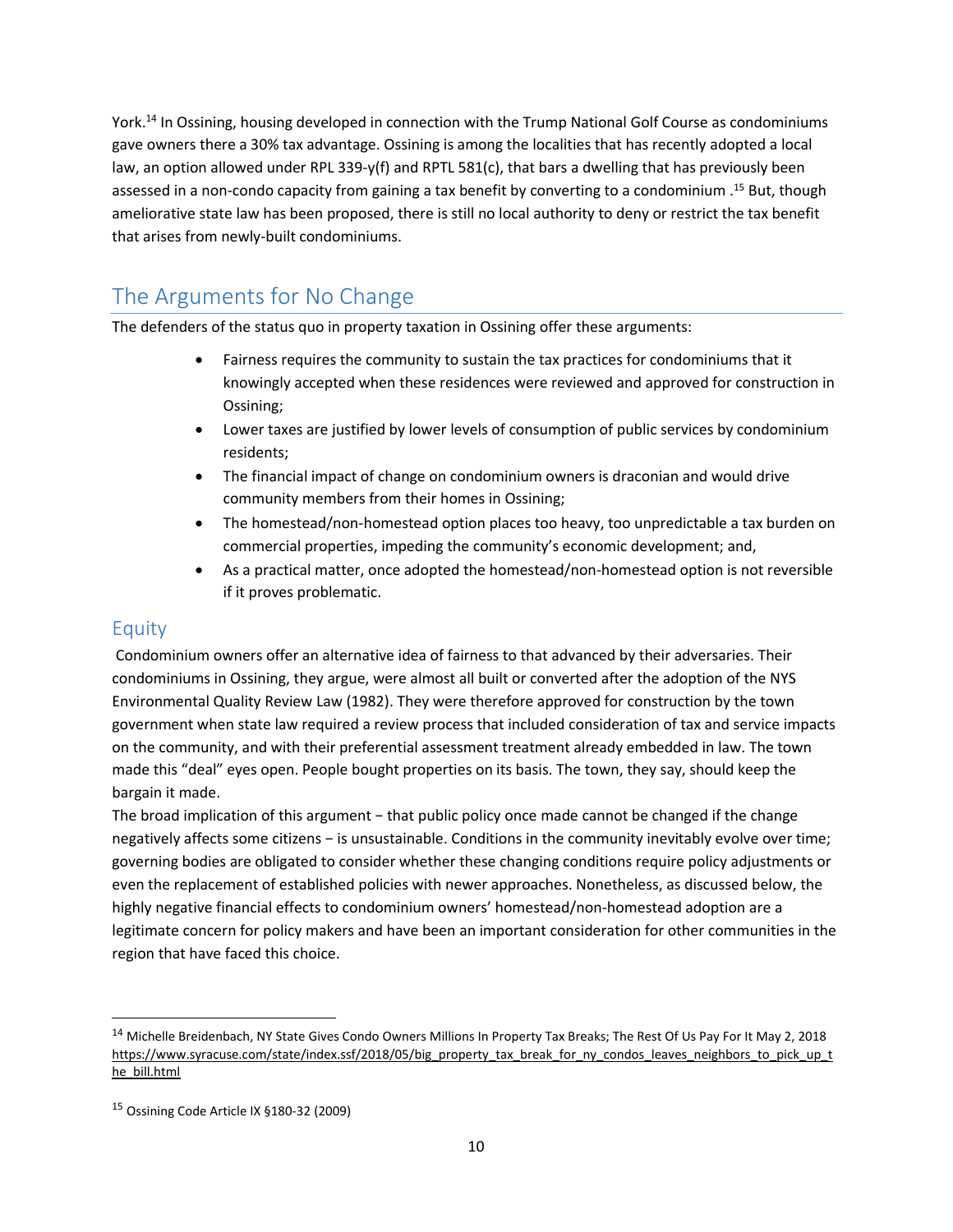York.<sup>14</sup> In Ossining, housing developed in connection with the Trump National Golf Course as condominiums gave owners there a 30% tax advantage. Ossining is among the localities that has recently adopted a local law, an option allowed under RPL 339-y(f) and RPTL 581(c), that bars a dwelling that has previously been assessed in a non-condo capacity from gaining a tax benefit by converting to a condominium .<sup>15</sup> But, though ameliorative state law has been proposed, there is still no local authority to deny or restrict the tax benefit that arises from newly-built condominiums.

# <span id="page-14-0"></span>The Arguments for No Change

The defenders of the status quo in property taxation in Ossining offer these arguments:

- Fairness requires the community to sustain the tax practices for condominiums that it knowingly accepted when these residences were reviewed and approved for construction in Ossining;
- Lower taxes are justified by lower levels of consumption of public services by condominium residents;
- The financial impact of change on condominium owners is draconian and would drive community members from their homes in Ossining;
- The homestead/non-homestead option places too heavy, too unpredictable a tax burden on commercial properties, impeding the community's economic development; and,
- As a practical matter, once adopted the homestead/non-homestead option is not reversible if it proves problematic.

## <span id="page-14-1"></span>Equity

 $\overline{a}$ 

Condominium owners offer an alternative idea of fairness to that advanced by their adversaries. Their condominiums in Ossining, they argue, were almost all built or converted after the adoption of the NYS Environmental Quality Review Law (1982). They were therefore approved for construction by the town government when state law required a review process that included consideration of tax and service impacts on the community, and with their preferential assessment treatment already embedded in law. The town made this "deal" eyes open. People bought properties on its basis. The town, they say, should keep the bargain it made.

The broad implication of this argument – that public policy once made cannot be changed if the change negatively affects some citizens − is unsustainable. Conditions in the community inevitably evolve over time; governing bodies are obligated to consider whether these changing conditions require policy adjustments or even the replacement of established policies with newer approaches. Nonetheless, as discussed below, the highly negative financial effects to condominium owners' homestead/non-homestead adoption are a legitimate concern for policy makers and have been an important consideration for other communities in the region that have faced this choice.

<sup>&</sup>lt;sup>14</sup> Michelle Breidenbach, NY State Gives Condo Owners Millions In Property Tax Breaks; The Rest Of Us Pay For It May 2, 2018 [https://www.syracuse.com/state/index.ssf/2018/05/big\\_property\\_tax\\_break\\_for\\_ny\\_condos\\_leaves\\_neighbors\\_to\\_pick\\_up\\_t](https://www.syracuse.com/state/index.ssf/2018/05/big_property_tax_break_for_ny_condos_leaves_neighbors_to_pick_up_the_bill.html) [he\\_bill.html](https://www.syracuse.com/state/index.ssf/2018/05/big_property_tax_break_for_ny_condos_leaves_neighbors_to_pick_up_the_bill.html)

<sup>15</sup> Ossining Code Article IX §180-32 (2009)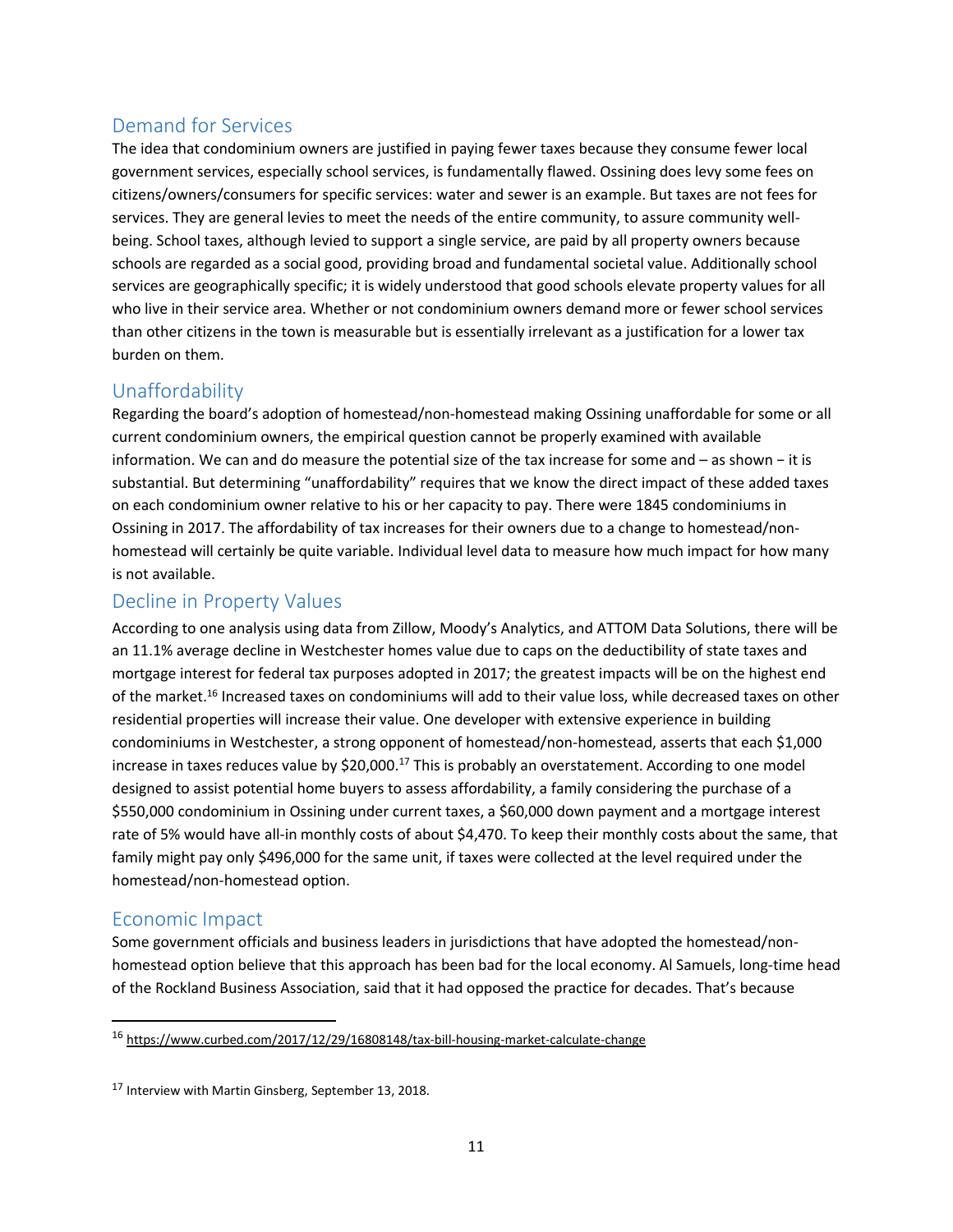# <span id="page-15-0"></span>Demand for Services

The idea that condominium owners are justified in paying fewer taxes because they consume fewer local government services, especially school services, is fundamentally flawed. Ossining does levy some fees on citizens/owners/consumers for specific services: water and sewer is an example. But taxes are not fees for services. They are general levies to meet the needs of the entire community, to assure community wellbeing. School taxes, although levied to support a single service, are paid by all property owners because schools are regarded as a social good, providing broad and fundamental societal value. Additionally school services are geographically specific; it is widely understood that good schools elevate property values for all who live in their service area. Whether or not condominium owners demand more or fewer school services than other citizens in the town is measurable but is essentially irrelevant as a justification for a lower tax burden on them.

# <span id="page-15-1"></span>Unaffordability

Regarding the board's adoption of homestead/non-homestead making Ossining unaffordable for some or all current condominium owners, the empirical question cannot be properly examined with available information. We can and do measure the potential size of the tax increase for some and – as shown − it is substantial. But determining "unaffordability" requires that we know the direct impact of these added taxes on each condominium owner relative to his or her capacity to pay. There were 1845 condominiums in Ossining in 2017. The affordability of tax increases for their owners due to a change to homestead/nonhomestead will certainly be quite variable. Individual level data to measure how much impact for how many is not available.

### <span id="page-15-2"></span>Decline in Property Values

According to one analysis using data from Zillow, Moody's Analytics, and ATTOM Data Solutions, there will be an 11.1% average decline in Westchester homes value due to caps on the deductibility of state taxes and mortgage interest for federal tax purposes adopted in 2017; the greatest impacts will be on the highest end of the market.<sup>16</sup> Increased taxes on condominiums will add to their value loss, while decreased taxes on other residential properties will increase their value. One developer with extensive experience in building condominiums in Westchester, a strong opponent of homestead/non-homestead, asserts that each \$1,000 increase in taxes reduces value by \$20,000.<sup>17</sup> This is probably an overstatement. According to one model designed to assist potential home buyers to assess affordability, a family considering the purchase of a \$550,000 condominium in Ossining under current taxes, a \$60,000 down payment and a mortgage interest rate of 5% would have all-in monthly costs of about \$4,470. To keep their monthly costs about the same, that family might pay only \$496,000 for the same unit, if taxes were collected at the level required under the homestead/non-homestead option.

### <span id="page-15-3"></span>Economic Impact

 $\overline{\phantom{a}}$ 

Some government officials and business leaders in jurisdictions that have adopted the homestead/nonhomestead option believe that this approach has been bad for the local economy. Al Samuels, long-time head of the Rockland Business Association, said that it had opposed the practice for decades. That's because

<sup>16</sup> <https://www.curbed.com/2017/12/29/16808148/tax-bill-housing-market-calculate-change>

<sup>17</sup> Interview with Martin Ginsberg, September 13, 2018.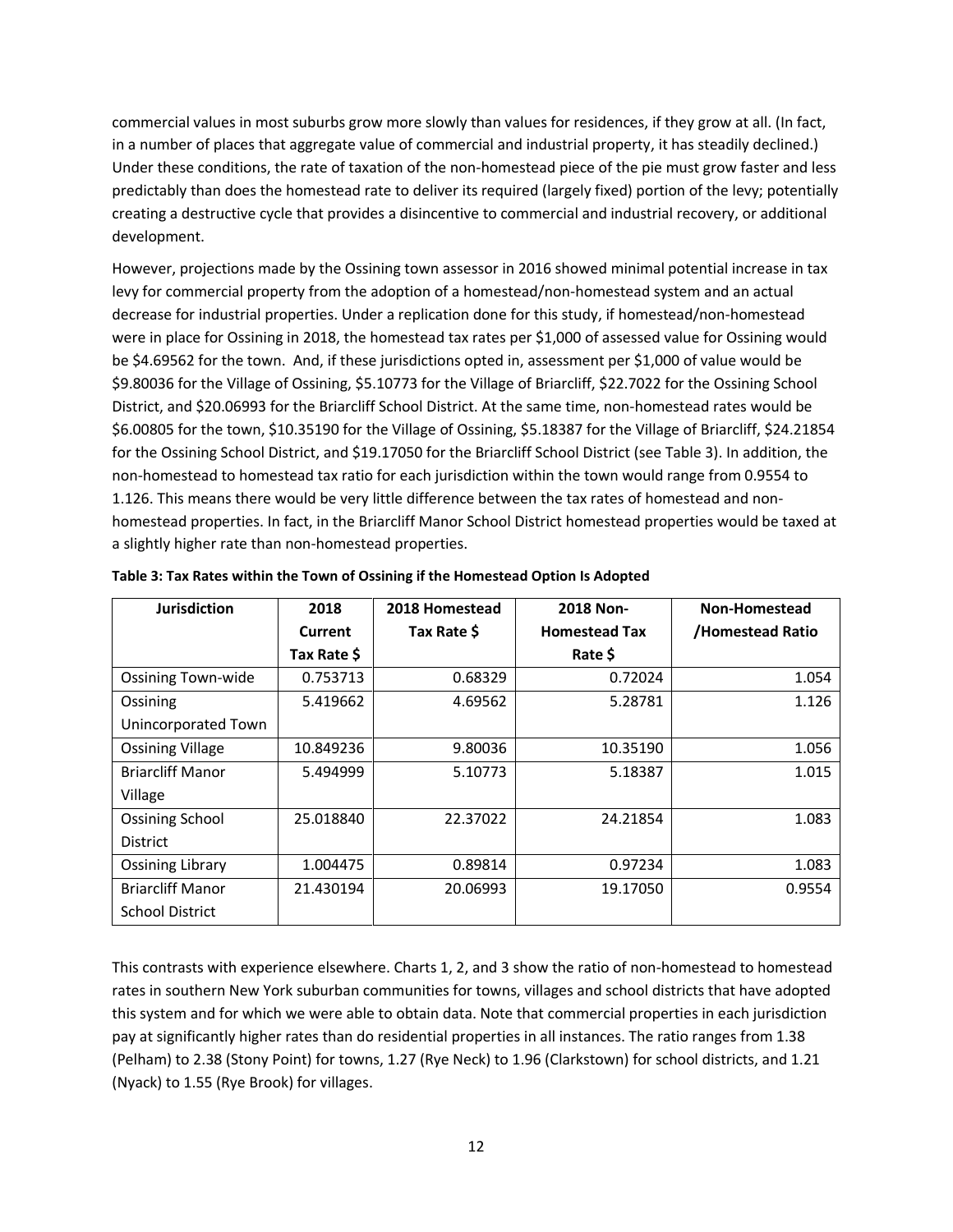commercial values in most suburbs grow more slowly than values for residences, if they grow at all. (In fact, in a number of places that aggregate value of commercial and industrial property, it has steadily declined.) Under these conditions, the rate of taxation of the non-homestead piece of the pie must grow faster and less predictably than does the homestead rate to deliver its required (largely fixed) portion of the levy; potentially creating a destructive cycle that provides a disincentive to commercial and industrial recovery, or additional development.

However, projections made by the Ossining town assessor in 2016 showed minimal potential increase in tax levy for commercial property from the adoption of a homestead/non-homestead system and an actual decrease for industrial properties. Under a replication done for this study, if homestead/non-homestead were in place for Ossining in 2018, the homestead tax rates per \$1,000 of assessed value for Ossining would be \$4.69562 for the town. And, if these jurisdictions opted in, assessment per \$1,000 of value would be \$9.80036 for the Village of Ossining, \$5.10773 for the Village of Briarcliff, \$22.7022 for the Ossining School District, and \$20.06993 for the Briarcliff School District. At the same time, non-homestead rates would be \$6.00805 for the town, \$10.35190 for the Village of Ossining, \$5.18387 for the Village of Briarcliff, \$24.21854 for the Ossining School District, and \$19.17050 for the Briarcliff School District (see Table 3). In addition, the non-homestead to homestead tax ratio for each jurisdiction within the town would range from 0.9554 to 1.126. This means there would be very little difference between the tax rates of homestead and nonhomestead properties. In fact, in the Briarcliff Manor School District homestead properties would be taxed at a slightly higher rate than non-homestead properties.

| <b>Jurisdiction</b>       | 2018        | 2018 Homestead | 2018 Non-            | Non-Homestead    |
|---------------------------|-------------|----------------|----------------------|------------------|
|                           | Current     | Tax Rate \$    | <b>Homestead Tax</b> | /Homestead Ratio |
|                           | Tax Rate \$ |                | Rate \$              |                  |
| <b>Ossining Town-wide</b> | 0.753713    | 0.68329        | 0.72024              | 1.054            |
| Ossining                  | 5.419662    | 4.69562        | 5.28781              | 1.126            |
| Unincorporated Town       |             |                |                      |                  |
| <b>Ossining Village</b>   | 10.849236   | 9.80036        | 10.35190             | 1.056            |
| <b>Briarcliff Manor</b>   | 5.494999    | 5.10773        | 5.18387              | 1.015            |
| Village                   |             |                |                      |                  |
| <b>Ossining School</b>    | 25.018840   | 22.37022       | 24.21854             | 1.083            |
| <b>District</b>           |             |                |                      |                  |
| <b>Ossining Library</b>   | 1.004475    | 0.89814        | 0.97234              | 1.083            |
| <b>Briarcliff Manor</b>   | 21.430194   | 20.06993       | 19.17050             | 0.9554           |
| <b>School District</b>    |             |                |                      |                  |

**Table 3: Tax Rates within the Town of Ossining if the Homestead Option Is Adopted**

This contrasts with experience elsewhere. Charts 1, 2, and 3 show the ratio of non-homestead to homestead rates in southern New York suburban communities for towns, villages and school districts that have adopted this system and for which we were able to obtain data. Note that commercial properties in each jurisdiction pay at significantly higher rates than do residential properties in all instances. The ratio ranges from 1.38 (Pelham) to 2.38 (Stony Point) for towns, 1.27 (Rye Neck) to 1.96 (Clarkstown) for school districts, and 1.21 (Nyack) to 1.55 (Rye Brook) for villages.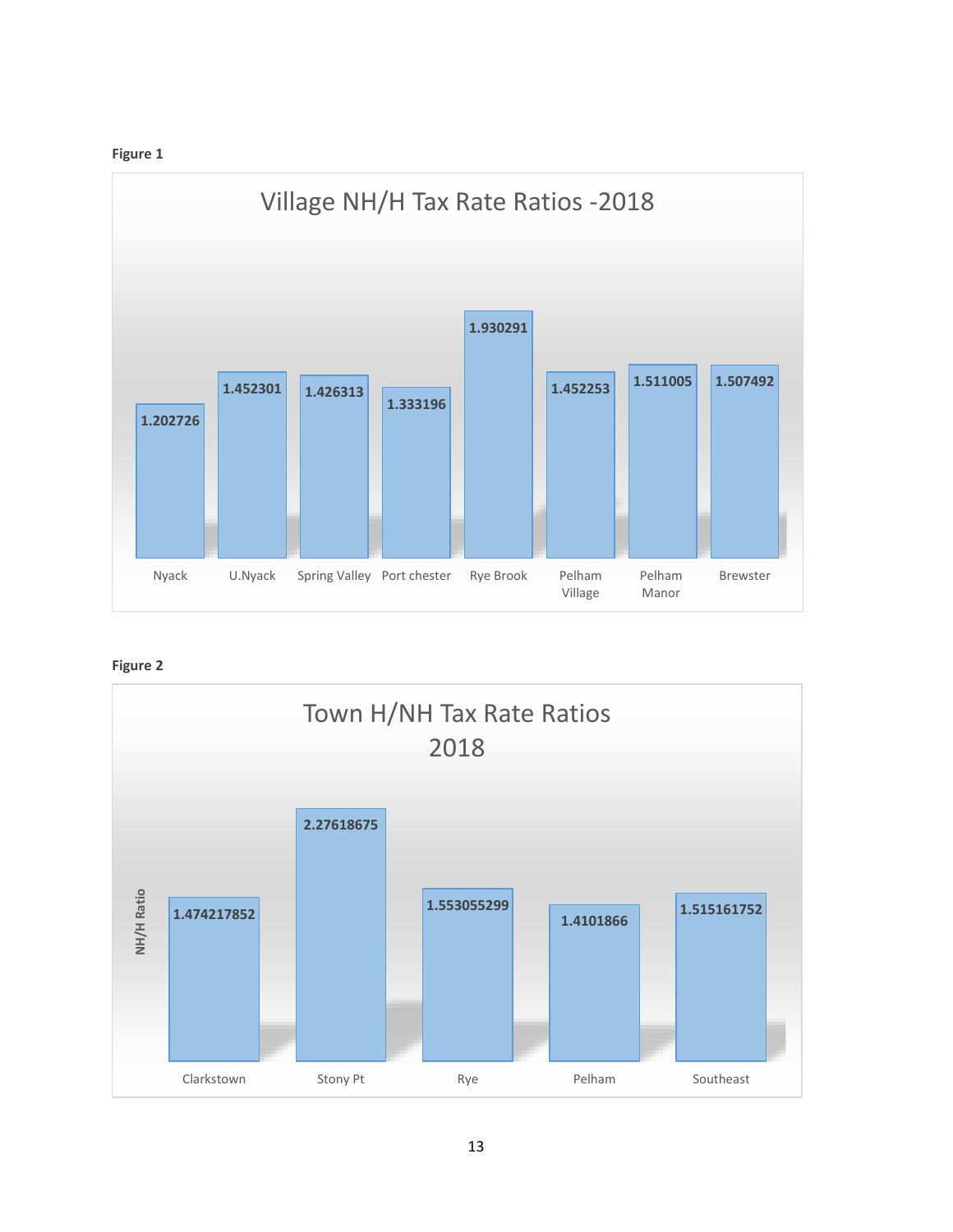



**Figure 2**

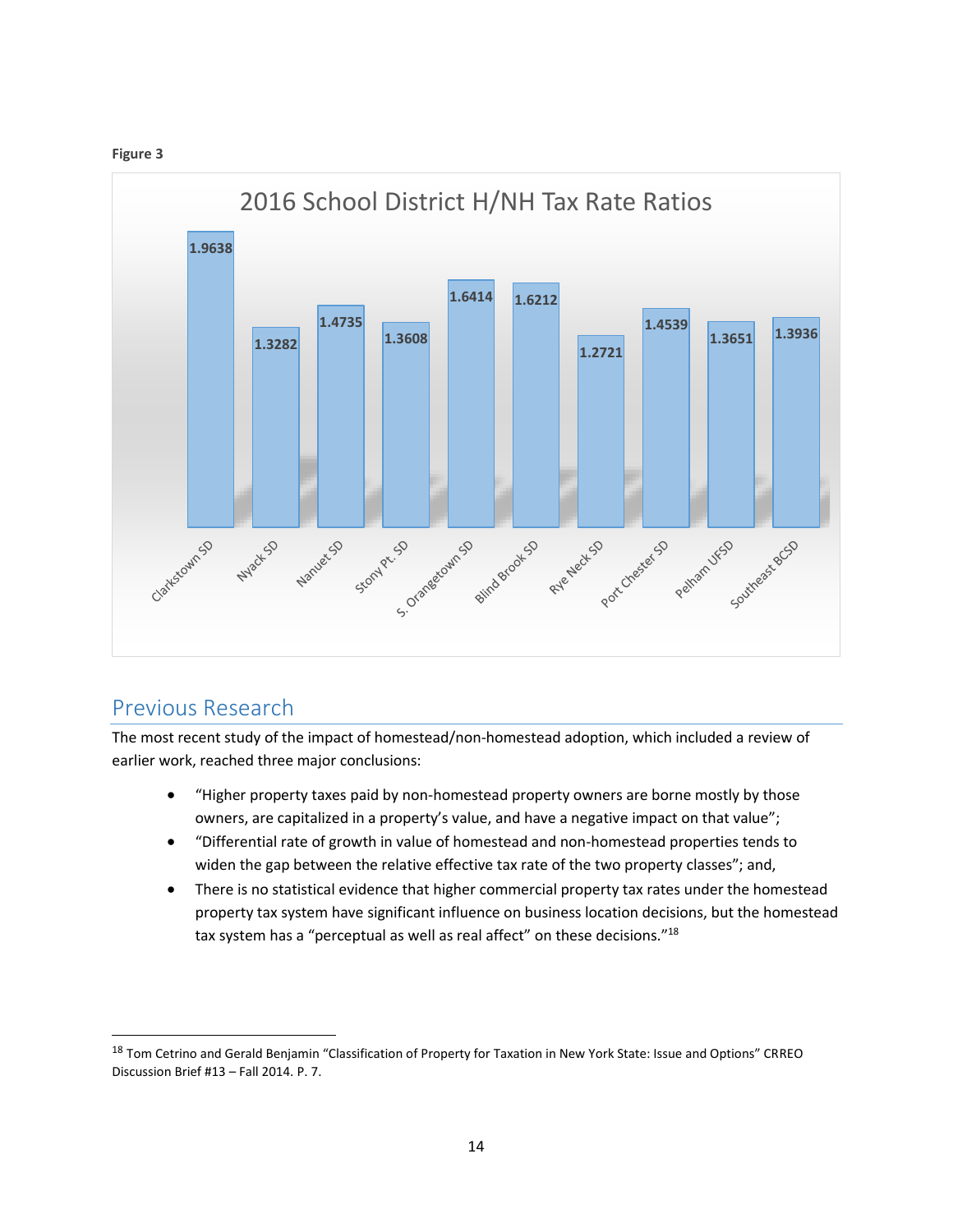



# <span id="page-18-0"></span>Previous Research

 $\overline{a}$ 

The most recent study of the impact of homestead/non-homestead adoption, which included a review of earlier work, reached three major conclusions:

- "Higher property taxes paid by non-homestead property owners are borne mostly by those owners, are capitalized in a property's value, and have a negative impact on that value";
- "Differential rate of growth in value of homestead and non-homestead properties tends to widen the gap between the relative effective tax rate of the two property classes"; and,
- There is no statistical evidence that higher commercial property tax rates under the homestead property tax system have significant influence on business location decisions, but the homestead tax system has a "perceptual as well as real affect" on these decisions."<sup>18</sup>

<sup>&</sup>lt;sup>18</sup> Tom Cetrino and Gerald Benjamin "Classification of Property for Taxation in New York State: Issue and Options" CRREO Discussion Brief #13 – Fall 2014. P. 7.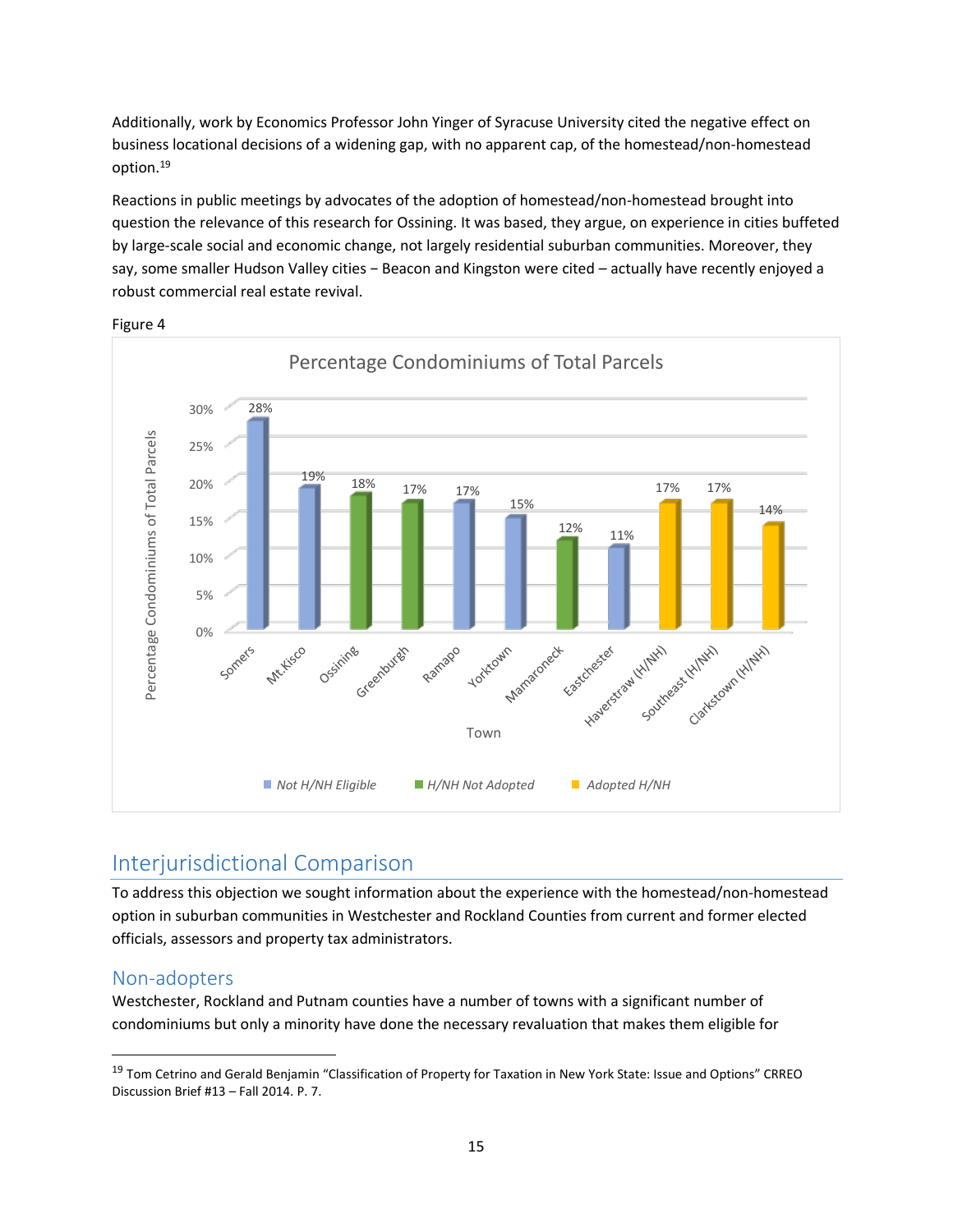Additionally, work by Economics Professor John Yinger of Syracuse University cited the negative effect on business locational decisions of a widening gap, with no apparent cap, of the homestead/non-homestead option.<sup>19</sup>

Reactions in public meetings by advocates of the adoption of homestead/non-homestead brought into question the relevance of this research for Ossining. It was based, they argue, on experience in cities buffeted by large-scale social and economic change, not largely residential suburban communities. Moreover, they say, some smaller Hudson Valley cities − Beacon and Kingston were cited – actually have recently enjoyed a robust commercial real estate revival.



Figure 4

# <span id="page-19-0"></span>Interjurisdictional Comparison

To address this objection we sought information about the experience with the homestead/non-homestead option in suburban communities in Westchester and Rockland Counties from current and former elected officials, assessors and property tax administrators.

### <span id="page-19-1"></span>Non-adopters

 $\overline{a}$ 

Westchester, Rockland and Putnam counties have a number of towns with a significant number of condominiums but only a minority have done the necessary revaluation that makes them eligible for

<sup>&</sup>lt;sup>19</sup> Tom Cetrino and Gerald Benjamin "Classification of Property for Taxation in New York State: Issue and Options" CRREO Discussion Brief #13 – Fall 2014. P. 7.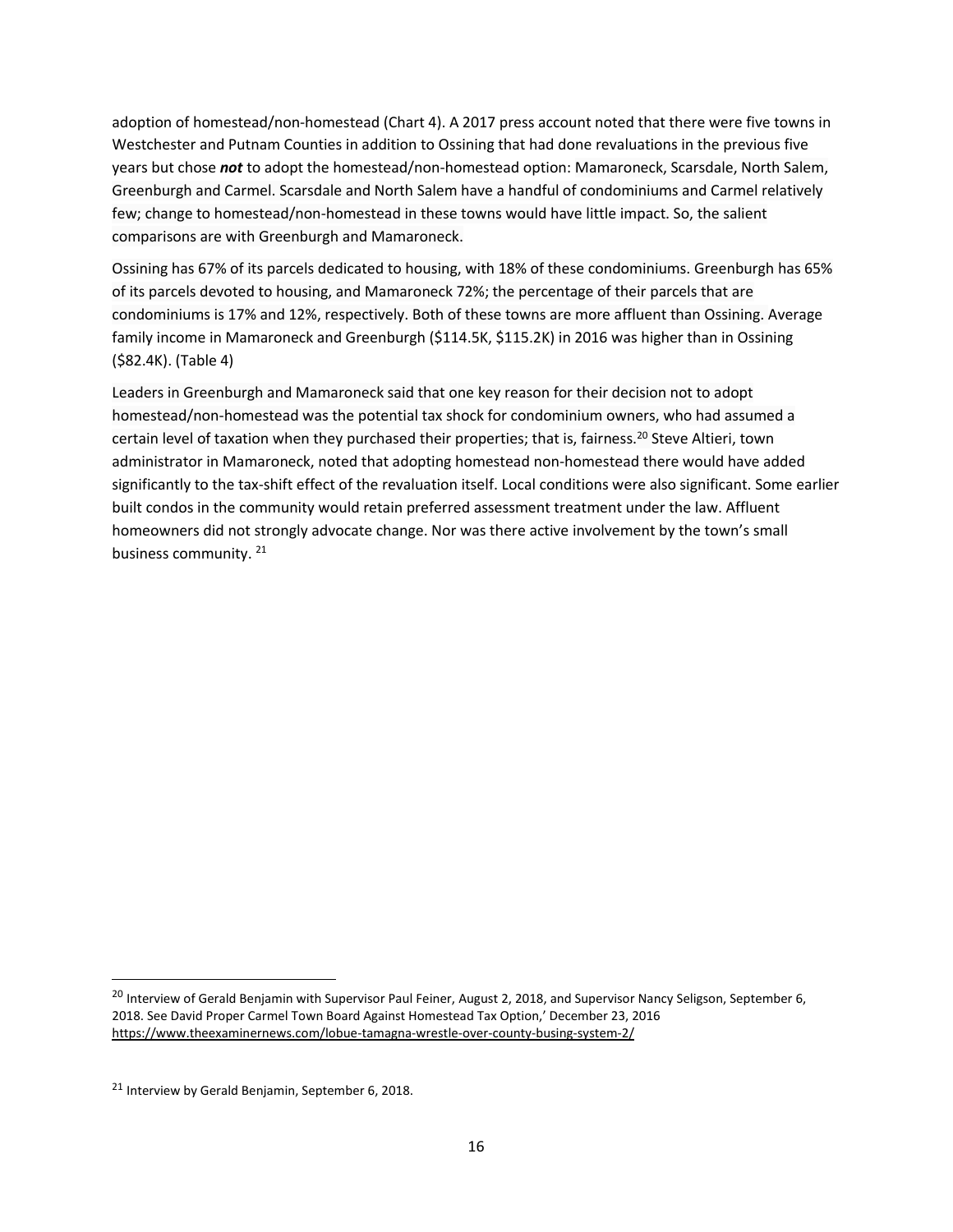adoption of homestead/non-homestead (Chart 4). A 2017 press account noted that there were five towns in Westchester and Putnam Counties in addition to Ossining that had done revaluations in the previous five years but chose *not* to adopt the homestead/non-homestead option: Mamaroneck, Scarsdale, North Salem, Greenburgh and Carmel. Scarsdale and North Salem have a handful of condominiums and Carmel relatively few; change to homestead/non-homestead in these towns would have little impact. So, the salient comparisons are with Greenburgh and Mamaroneck.

Ossining has 67% of its parcels dedicated to housing, with 18% of these condominiums. Greenburgh has 65% of its parcels devoted to housing, and Mamaroneck 72%; the percentage of their parcels that are condominiums is 17% and 12%, respectively. Both of these towns are more affluent than Ossining. Average family income in Mamaroneck and Greenburgh (\$114.5K, \$115.2K) in 2016 was higher than in Ossining (\$82.4K). (Table 4)

Leaders in Greenburgh and Mamaroneck said that one key reason for their decision not to adopt homestead/non-homestead was the potential tax shock for condominium owners, who had assumed a certain level of taxation when they purchased their properties; that is, fairness.<sup>20</sup> Steve Altieri, town administrator in Mamaroneck, noted that adopting homestead non-homestead there would have added significantly to the tax-shift effect of the revaluation itself. Local conditions were also significant. Some earlier built condos in the community would retain preferred assessment treatment under the law. Affluent homeowners did not strongly advocate change. Nor was there active involvement by the town's small business community. <sup>21</sup>

 $\overline{\phantom{a}}$ 

<sup>&</sup>lt;sup>20</sup> Interview of Gerald Benjamin with Supervisor Paul Feiner, August 2, 2018, and Supervisor Nancy Seligson, September 6, 2018. See David Proper Carmel Town Board Against Homestead Tax Option,' December 23, 2016 <https://www.theexaminernews.com/lobue-tamagna-wrestle-over-county-busing-system-2/>

<sup>21</sup> Interview by Gerald Benjamin, September 6, 2018.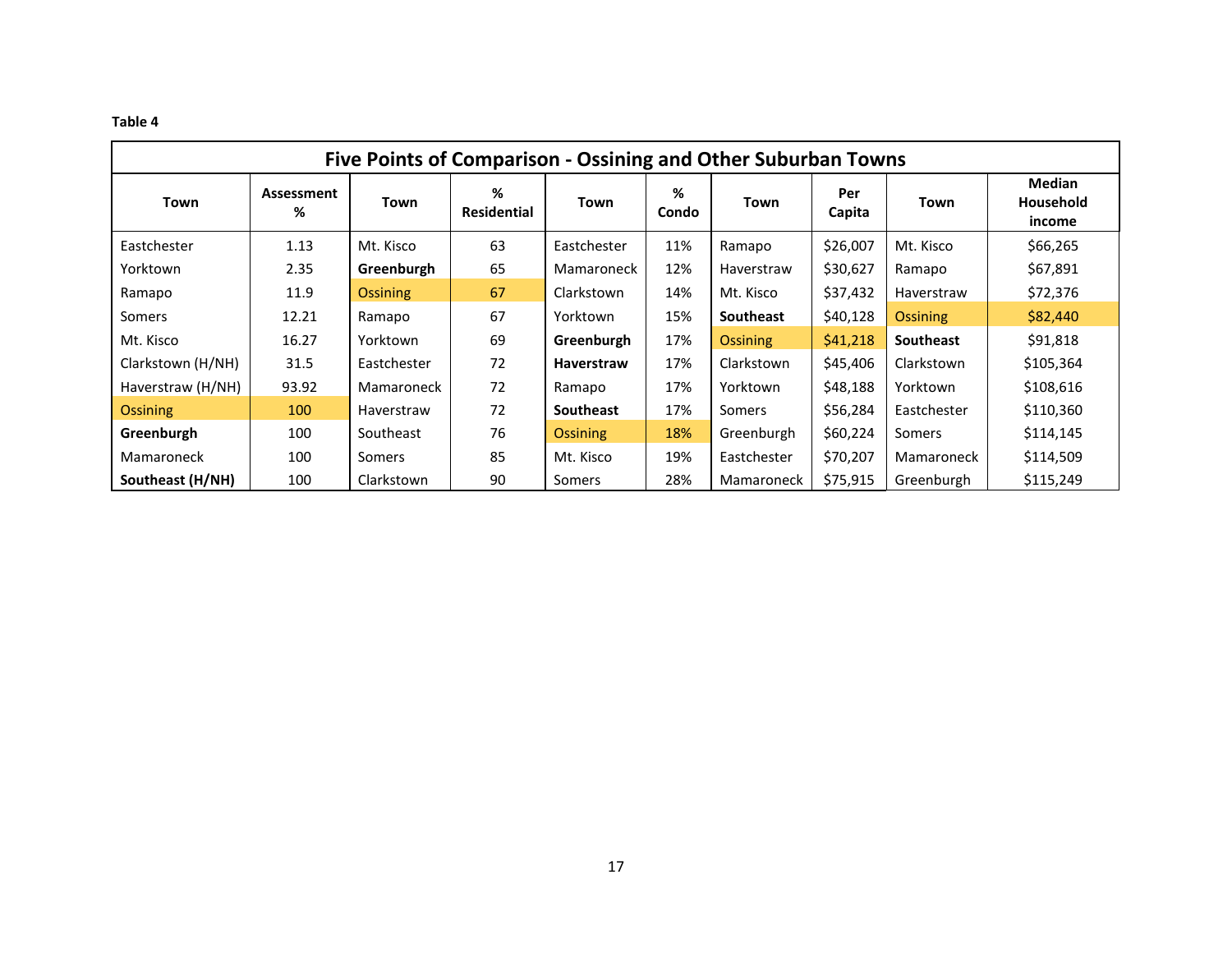#### **Table 4**

| Five Points of Comparison - Ossining and Other Suburban Towns |                 |                 |                         |                   |            |                 |               |                  |                                             |  |
|---------------------------------------------------------------|-----------------|-----------------|-------------------------|-------------------|------------|-----------------|---------------|------------------|---------------------------------------------|--|
| Town                                                          | Assessment<br>% | Town            | %<br><b>Residential</b> | Town              | %<br>Condo | Town            | Per<br>Capita | Town             | <b>Median</b><br><b>Household</b><br>income |  |
| Eastchester                                                   | 1.13            | Mt. Kisco       | 63                      | Eastchester       | 11%        | Ramapo          | \$26,007      | Mt. Kisco        | \$66,265                                    |  |
| Yorktown                                                      | 2.35            | Greenburgh      | 65                      | Mamaroneck        | 12%        | Haverstraw      | \$30,627      | Ramapo           | \$67,891                                    |  |
| Ramapo                                                        | 11.9            | <b>Ossining</b> | 67                      | Clarkstown        | 14%        | Mt. Kisco       | \$37,432      | Haverstraw       | \$72,376                                    |  |
| <b>Somers</b>                                                 | 12.21           | Ramapo          | 67                      | Yorktown          | 15%        | Southeast       | \$40,128      | <b>Ossining</b>  | \$82,440                                    |  |
| Mt. Kisco                                                     | 16.27           | Yorktown        | 69                      | Greenburgh        | 17%        | <b>Ossining</b> | \$41,218      | <b>Southeast</b> | \$91,818                                    |  |
| Clarkstown (H/NH)                                             | 31.5            | Eastchester     | 72                      | <b>Haverstraw</b> | 17%        | Clarkstown      | \$45,406      | Clarkstown       | \$105,364                                   |  |
| Haverstraw (H/NH)                                             | 93.92           | Mamaroneck      | 72                      | Ramapo            | 17%        | Yorktown        | \$48,188      | Yorktown         | \$108,616                                   |  |
| <b>Ossining</b>                                               | 100             | Haverstraw      | 72                      | <b>Southeast</b>  | 17%        | Somers          | \$56,284      | Eastchester      | \$110,360                                   |  |
| Greenburgh                                                    | 100             | Southeast       | 76                      | <b>Ossining</b>   | 18%        | Greenburgh      | \$60,224      | Somers           | \$114,145                                   |  |
| Mamaroneck                                                    | 100             | Somers          | 85                      | Mt. Kisco         | 19%        | Eastchester     | \$70,207      | Mamaroneck       | \$114,509                                   |  |
| Southeast (H/NH)                                              | 100             | Clarkstown      | 90                      | Somers            | 28%        | Mamaroneck      | \$75,915      | Greenburgh       | \$115,249                                   |  |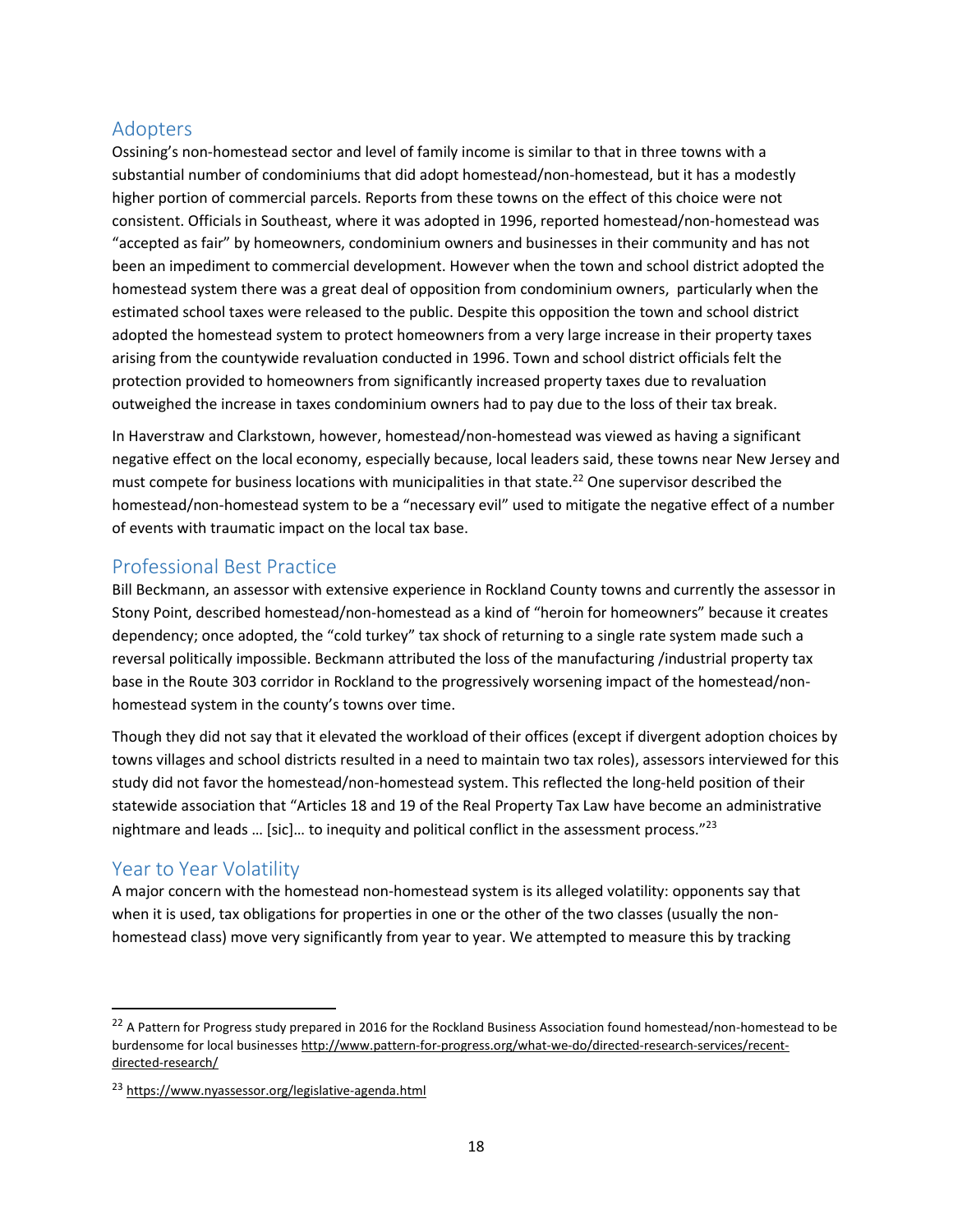#### <span id="page-22-0"></span>Adopters

Ossining's non-homestead sector and level of family income is similar to that in three towns with a substantial number of condominiums that did adopt homestead/non-homestead, but it has a modestly higher portion of commercial parcels. Reports from these towns on the effect of this choice were not consistent. Officials in Southeast, where it was adopted in 1996, reported homestead/non-homestead was "accepted as fair" by homeowners, condominium owners and businesses in their community and has not been an impediment to commercial development. However when the town and school district adopted the homestead system there was a great deal of opposition from condominium owners, particularly when the estimated school taxes were released to the public. Despite this opposition the town and school district adopted the homestead system to protect homeowners from a very large increase in their property taxes arising from the countywide revaluation conducted in 1996. Town and school district officials felt the protection provided to homeowners from significantly increased property taxes due to revaluation outweighed the increase in taxes condominium owners had to pay due to the loss of their tax break.

In Haverstraw and Clarkstown, however, homestead/non-homestead was viewed as having a significant negative effect on the local economy, especially because, local leaders said, these towns near New Jersey and must compete for business locations with municipalities in that state.<sup>22</sup> One supervisor described the homestead/non-homestead system to be a "necessary evil" used to mitigate the negative effect of a number of events with traumatic impact on the local tax base.

#### <span id="page-22-1"></span>Professional Best Practice

Bill Beckmann, an assessor with extensive experience in Rockland County towns and currently the assessor in Stony Point, described homestead/non-homestead as a kind of "heroin for homeowners" because it creates dependency; once adopted, the "cold turkey" tax shock of returning to a single rate system made such a reversal politically impossible. Beckmann attributed the loss of the manufacturing /industrial property tax base in the Route 303 corridor in Rockland to the progressively worsening impact of the homestead/nonhomestead system in the county's towns over time.

Though they did not say that it elevated the workload of their offices (except if divergent adoption choices by towns villages and school districts resulted in a need to maintain two tax roles), assessors interviewed for this study did not favor the homestead/non-homestead system. This reflected the long-held position of their statewide association that "Articles 18 and 19 of the Real Property Tax Law have become an administrative nightmare and leads ... [sic]... to inequity and political conflict in the assessment process." $^{23}$ 

### <span id="page-22-2"></span>Year to Year Volatility

 $\overline{a}$ 

A major concern with the homestead non-homestead system is its alleged volatility: opponents say that when it is used, tax obligations for properties in one or the other of the two classes (usually the nonhomestead class) move very significantly from year to year. We attempted to measure this by tracking

<sup>&</sup>lt;sup>22</sup> A Pattern for Progress study prepared in 2016 for the Rockland Business Association found homestead/non-homestead to be burdensome for local businesses http://www.pattern-for-progress.org/what-we-do/directed-research-services/recentdirected-research/

<sup>23</sup> <https://www.nyassessor.org/legislative-agenda.html>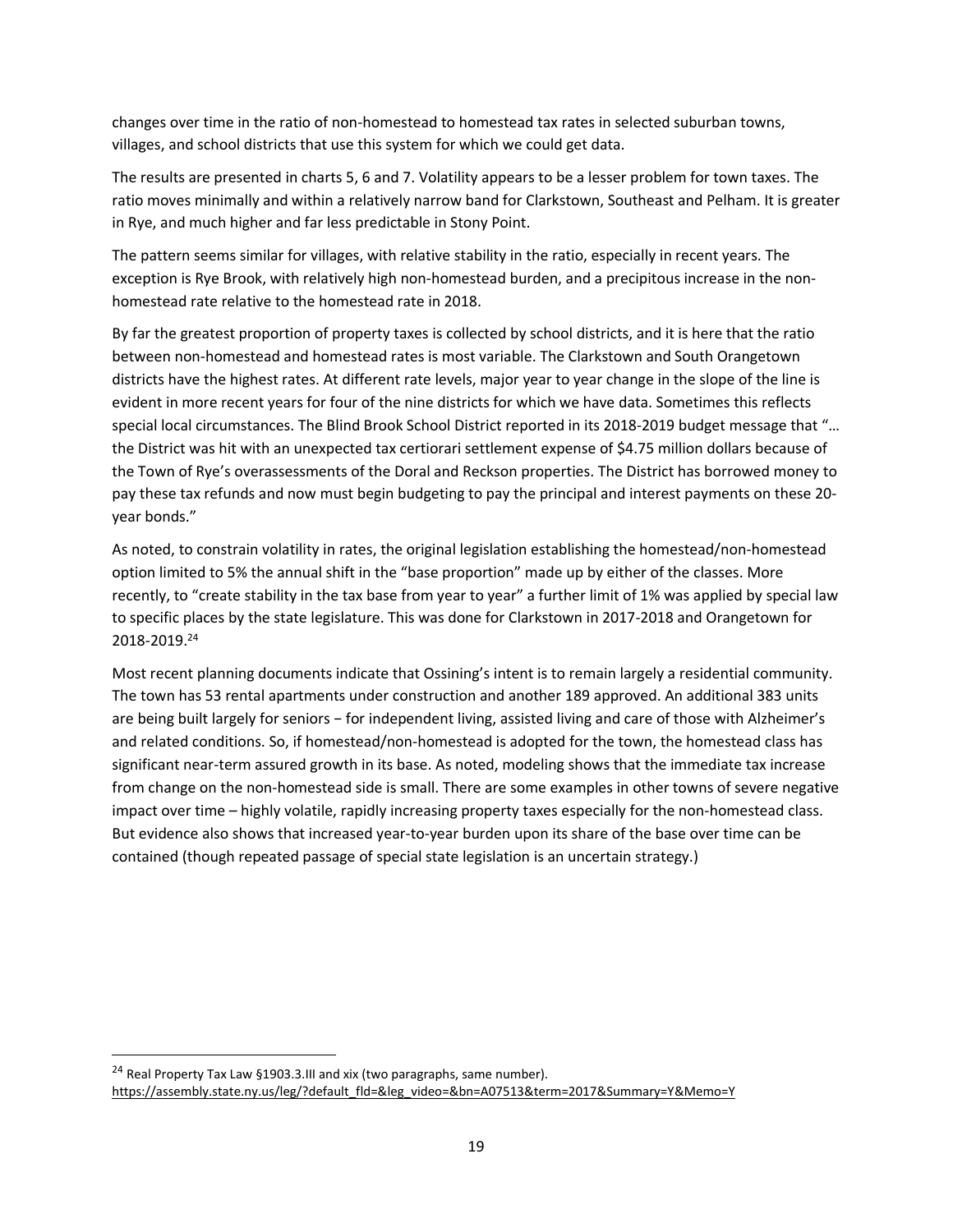changes over time in the ratio of non-homestead to homestead tax rates in selected suburban towns, villages, and school districts that use this system for which we could get data.

The results are presented in charts 5, 6 and 7. Volatility appears to be a lesser problem for town taxes. The ratio moves minimally and within a relatively narrow band for Clarkstown, Southeast and Pelham. It is greater in Rye, and much higher and far less predictable in Stony Point.

The pattern seems similar for villages, with relative stability in the ratio, especially in recent years. The exception is Rye Brook, with relatively high non-homestead burden, and a precipitous increase in the nonhomestead rate relative to the homestead rate in 2018.

By far the greatest proportion of property taxes is collected by school districts, and it is here that the ratio between non-homestead and homestead rates is most variable. The Clarkstown and South Orangetown districts have the highest rates. At different rate levels, major year to year change in the slope of the line is evident in more recent years for four of the nine districts for which we have data. Sometimes this reflects special local circumstances. The Blind Brook School District reported in its 2018-2019 budget message that "… the District was hit with an unexpected tax certiorari settlement expense of \$4.75 million dollars because of the Town of Rye's overassessments of the Doral and Reckson properties. The District has borrowed money to pay these tax refunds and now must begin budgeting to pay the principal and interest payments on these 20 year bonds."

As noted, to constrain volatility in rates, the original legislation establishing the homestead/non-homestead option limited to 5% the annual shift in the "base proportion" made up by either of the classes. More recently, to "create stability in the tax base from year to year" a further limit of 1% was applied by special law to specific places by the state legislature. This was done for Clarkstown in 2017-2018 and Orangetown for 2018-2019.<sup>24</sup>

Most recent planning documents indicate that Ossining's intent is to remain largely a residential community. The town has 53 rental apartments under construction and another 189 approved. An additional 383 units are being built largely for seniors − for independent living, assisted living and care of those with Alzheimer's and related conditions. So, if homestead/non-homestead is adopted for the town, the homestead class has significant near-term assured growth in its base. As noted, modeling shows that the immediate tax increase from change on the non-homestead side is small. There are some examples in other towns of severe negative impact over time – highly volatile, rapidly increasing property taxes especially for the non-homestead class. But evidence also shows that increased year-to-year burden upon its share of the base over time can be contained (though repeated passage of special state legislation is an uncertain strategy.)

 $\overline{a}$ 

<sup>&</sup>lt;sup>24</sup> Real Property Tax Law §1903.3.III and xix (two paragraphs, same number). [https://assembly.state.ny.us/leg/?default\\_fld=&leg\\_video=&bn=A07513&term=2017&Summary=Y&Memo=Y](https://assembly.state.ny.us/leg/?default_fld=&leg_video=&bn=A07513&term=2017&Summary=Y&Memo=Y)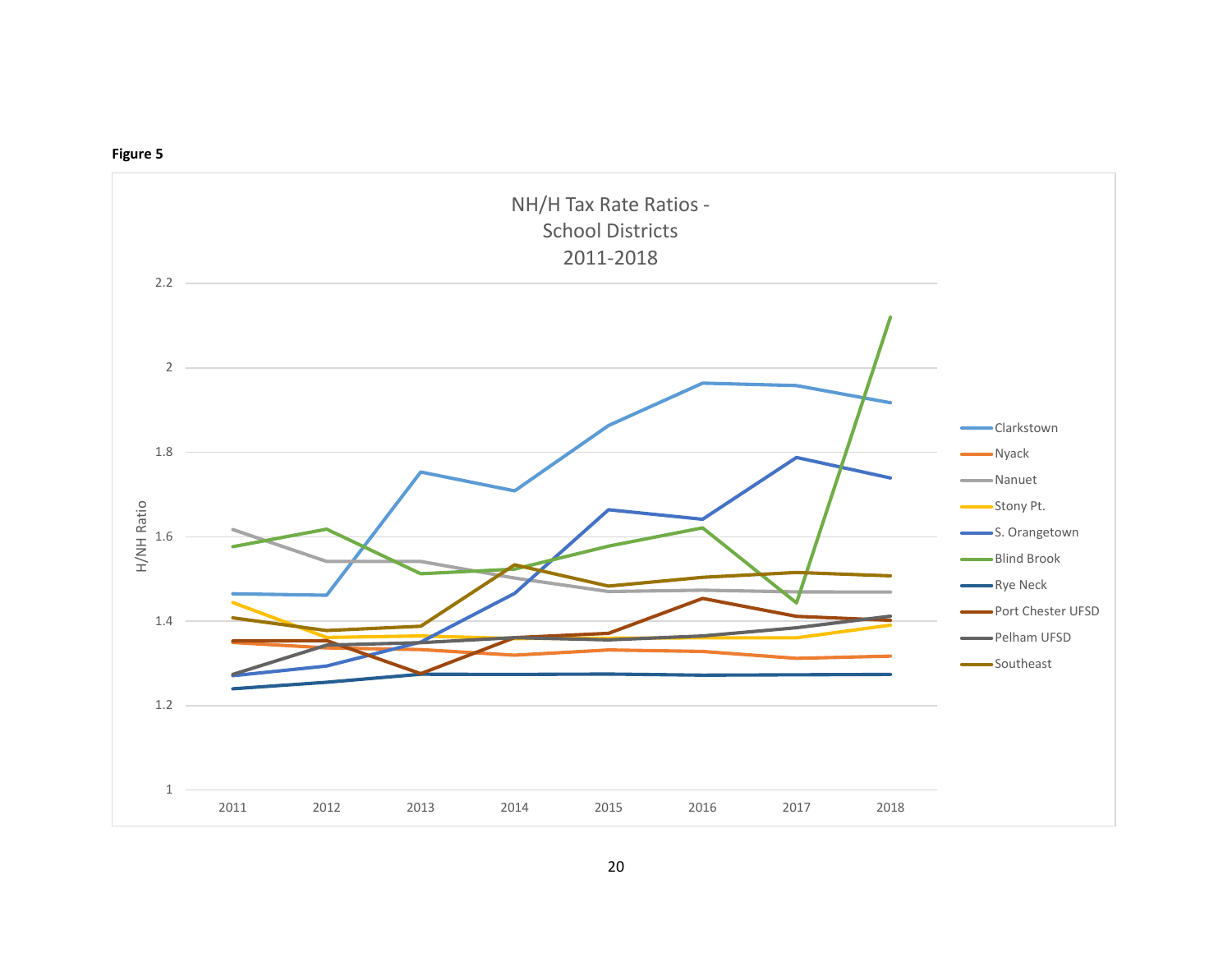

#### **Figure 5**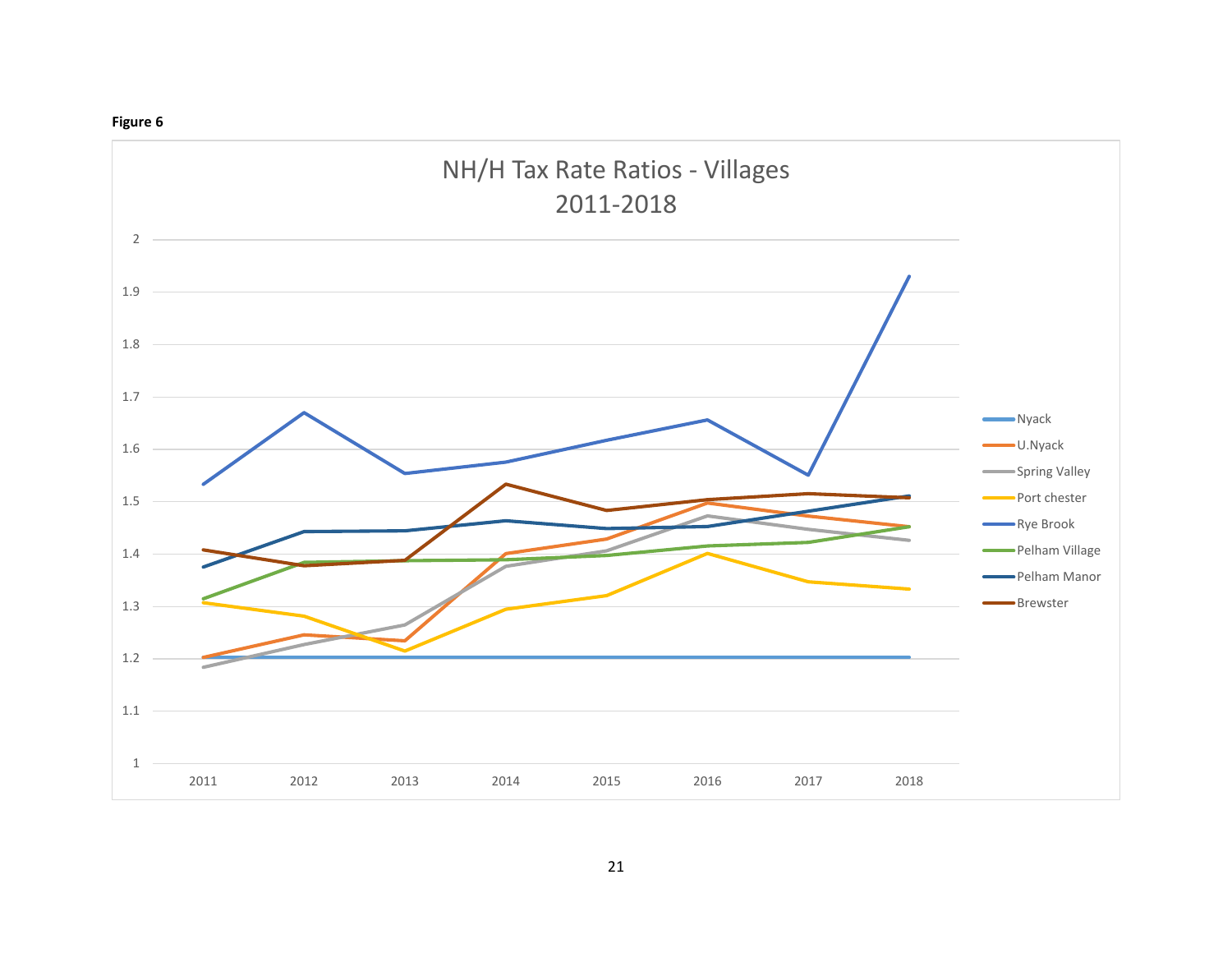#### **Figure 6**

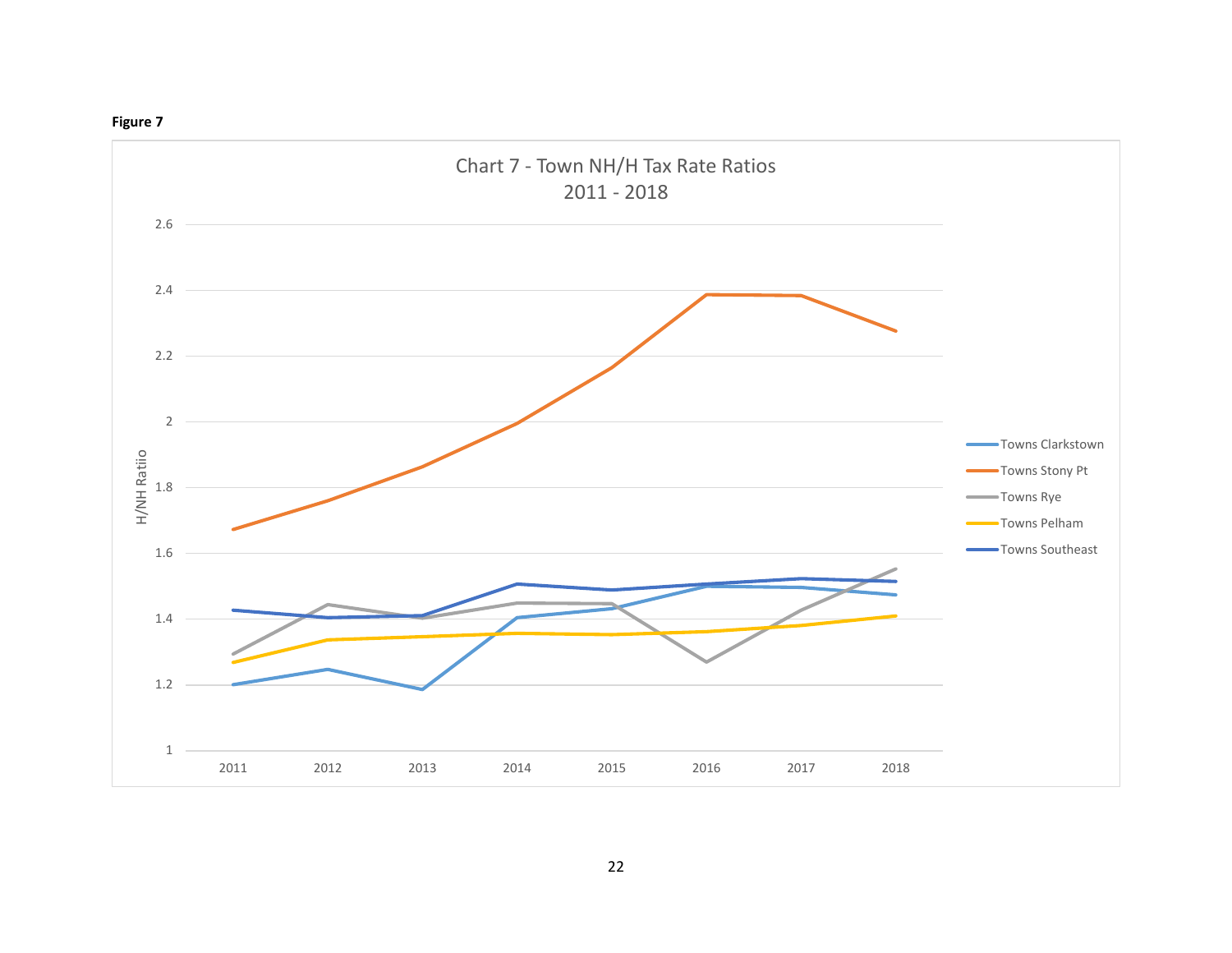

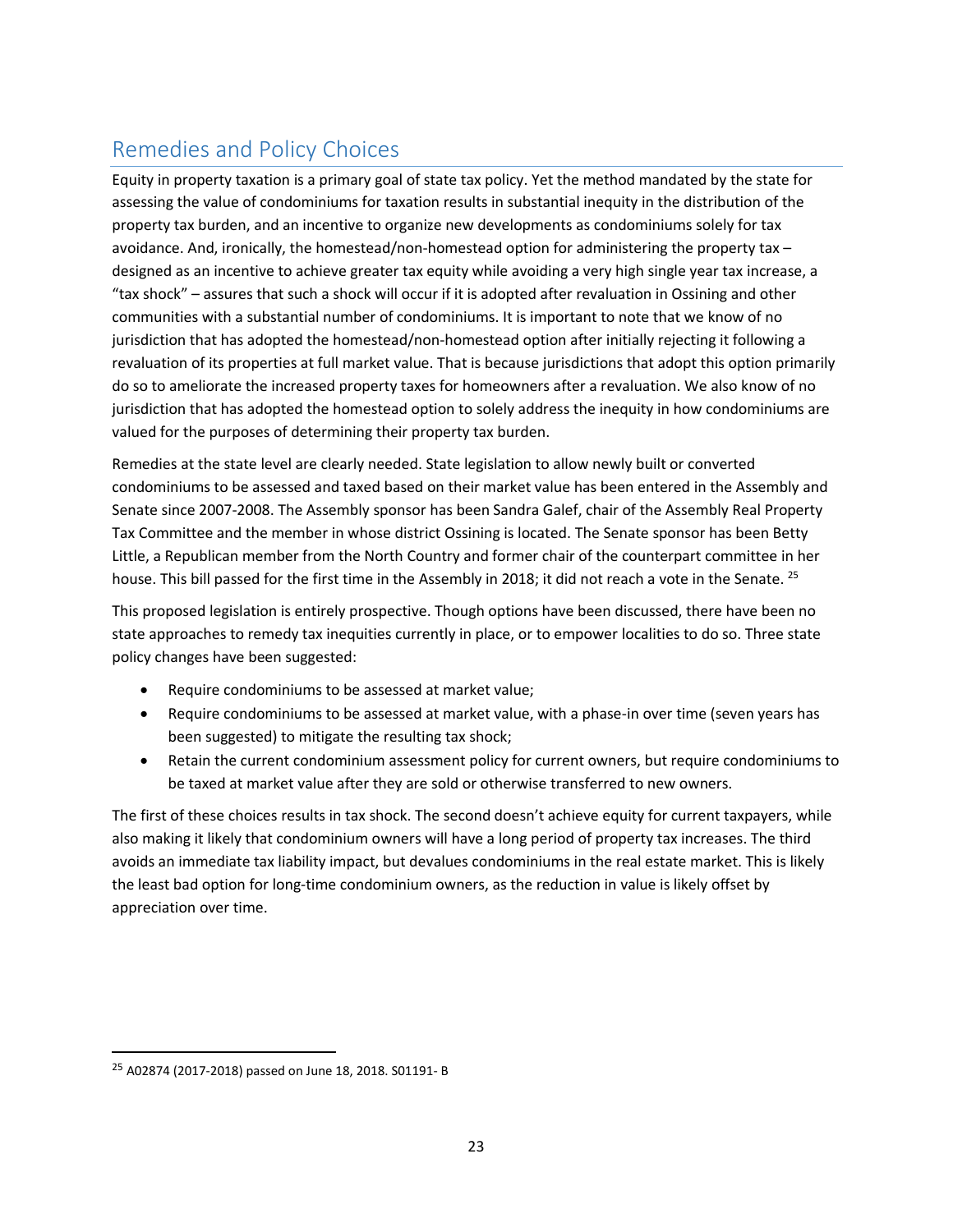# <span id="page-27-0"></span>Remedies and Policy Choices

Equity in property taxation is a primary goal of state tax policy. Yet the method mandated by the state for assessing the value of condominiums for taxation results in substantial inequity in the distribution of the property tax burden, and an incentive to organize new developments as condominiums solely for tax avoidance. And, ironically, the homestead/non-homestead option for administering the property tax – designed as an incentive to achieve greater tax equity while avoiding a very high single year tax increase, a "tax shock" – assures that such a shock will occur if it is adopted after revaluation in Ossining and other communities with a substantial number of condominiums. It is important to note that we know of no jurisdiction that has adopted the homestead/non-homestead option after initially rejecting it following a revaluation of its properties at full market value. That is because jurisdictions that adopt this option primarily do so to ameliorate the increased property taxes for homeowners after a revaluation. We also know of no jurisdiction that has adopted the homestead option to solely address the inequity in how condominiums are valued for the purposes of determining their property tax burden.

Remedies at the state level are clearly needed. State legislation to allow newly built or converted condominiums to be assessed and taxed based on their market value has been entered in the Assembly and Senate since 2007-2008. The Assembly sponsor has been Sandra Galef, chair of the Assembly Real Property Tax Committee and the member in whose district Ossining is located. The Senate sponsor has been Betty Little, a Republican member from the North Country and former chair of the counterpart committee in her house. This bill passed for the first time in the Assembly in 2018; it did not reach a vote in the Senate. <sup>25</sup>

This proposed legislation is entirely prospective. Though options have been discussed, there have been no state approaches to remedy tax inequities currently in place, or to empower localities to do so. Three state policy changes have been suggested:

- Require condominiums to be assessed at market value;
- Require condominiums to be assessed at market value, with a phase-in over time (seven years has been suggested) to mitigate the resulting tax shock;
- Retain the current condominium assessment policy for current owners, but require condominiums to be taxed at market value after they are sold or otherwise transferred to new owners.

The first of these choices results in tax shock. The second doesn't achieve equity for current taxpayers, while also making it likely that condominium owners will have a long period of property tax increases. The third avoids an immediate tax liability impact, but devalues condominiums in the real estate market. This is likely the least bad option for long-time condominium owners, as the reduction in value is likely offset by appreciation over time.

 $\overline{a}$ 

<sup>25</sup> A02874 (2017-2018) passed on June 18, 2018. S01191- B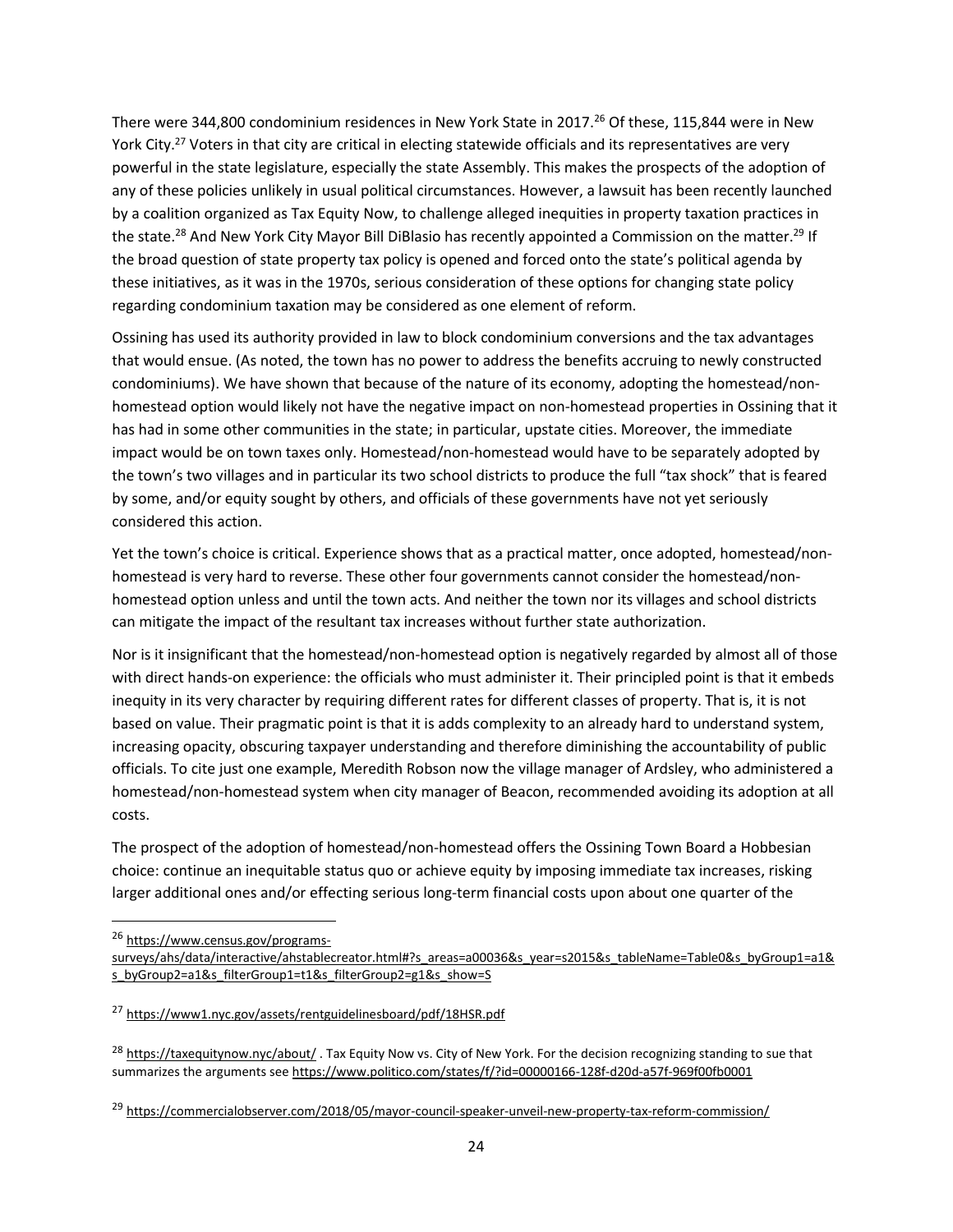There were 344,800 condominium residences in New York State in 2017.<sup>26</sup> Of these, 115,844 were in New York City.<sup>27</sup> Voters in that city are critical in electing statewide officials and its representatives are very powerful in the state legislature, especially the state Assembly. This makes the prospects of the adoption of any of these policies unlikely in usual political circumstances. However, a lawsuit has been recently launched by a coalition organized as Tax Equity Now, to challenge alleged inequities in property taxation practices in the state.<sup>28</sup> And New York City Mayor Bill DiBlasio has recently appointed a Commission on the matter.<sup>29</sup> If the broad question of state property tax policy is opened and forced onto the state's political agenda by these initiatives, as it was in the 1970s, serious consideration of these options for changing state policy regarding condominium taxation may be considered as one element of reform.

Ossining has used its authority provided in law to block condominium conversions and the tax advantages that would ensue. (As noted, the town has no power to address the benefits accruing to newly constructed condominiums). We have shown that because of the nature of its economy, adopting the homestead/nonhomestead option would likely not have the negative impact on non-homestead properties in Ossining that it has had in some other communities in the state; in particular, upstate cities. Moreover, the immediate impact would be on town taxes only. Homestead/non-homestead would have to be separately adopted by the town's two villages and in particular its two school districts to produce the full "tax shock" that is feared by some, and/or equity sought by others, and officials of these governments have not yet seriously considered this action.

Yet the town's choice is critical. Experience shows that as a practical matter, once adopted, homestead/nonhomestead is very hard to reverse. These other four governments cannot consider the homestead/nonhomestead option unless and until the town acts. And neither the town nor its villages and school districts can mitigate the impact of the resultant tax increases without further state authorization.

Nor is it insignificant that the homestead/non-homestead option is negatively regarded by almost all of those with direct hands-on experience: the officials who must administer it. Their principled point is that it embeds inequity in its very character by requiring different rates for different classes of property. That is, it is not based on value. Their pragmatic point is that it is adds complexity to an already hard to understand system, increasing opacity, obscuring taxpayer understanding and therefore diminishing the accountability of public officials. To cite just one example, Meredith Robson now the village manager of Ardsley, who administered a homestead/non-homestead system when city manager of Beacon, recommended avoiding its adoption at all costs.

The prospect of the adoption of homestead/non-homestead offers the Ossining Town Board a Hobbesian choice: continue an inequitable status quo or achieve equity by imposing immediate tax increases, risking larger additional ones and/or effecting serious long-term financial costs upon about one quarter of the

<sup>26</sup> [https://www.census.gov/programs-](https://www.census.gov/programs-surveys/ahs/data/interactive/ahstablecreator.html#?s_areas=a00036&s_year=s2015&s_tableName=Table0&s_byGroup1=a1&s_byGroup2=a1&s_filterGroup1=t1&s_filterGroup2=g1&s_show=S)

 $\overline{a}$ 

[surveys/ahs/data/interactive/ahstablecreator.html#?s\\_areas=a00036&s\\_year=s2015&s\\_tableName=Table0&s\\_byGroup1=a1&](https://www.census.gov/programs-surveys/ahs/data/interactive/ahstablecreator.html#?s_areas=a00036&s_year=s2015&s_tableName=Table0&s_byGroup1=a1&s_byGroup2=a1&s_filterGroup1=t1&s_filterGroup2=g1&s_show=S) s byGroup2=a1&s filterGroup1=t1&s filterGroup2=g1&s show=S

<sup>27</sup> <https://www1.nyc.gov/assets/rentguidelinesboard/pdf/18HSR.pdf>

<sup>&</sup>lt;sup>28</sup> <https://taxequitynow.nyc/about/> . Tax Equity Now vs. City of New York. For the decision recognizing standing to sue that summarizes the arguments see<https://www.politico.com/states/f/?id=00000166-128f-d20d-a57f-969f00fb0001>

<sup>&</sup>lt;sup>29</sup> <https://commercialobserver.com/2018/05/mayor-council-speaker-unveil-new-property-tax-reform-commission/>